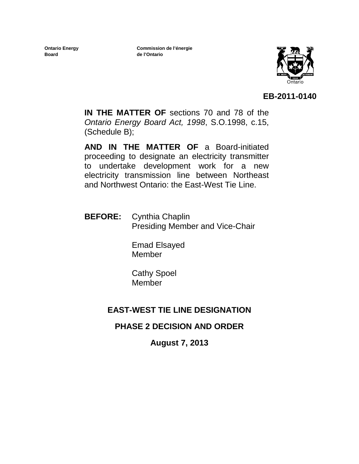**Ontario Energy Board**

**Commission de l'énergie de l'Ontario**



#### **EB-2011-0140**

**IN THE MATTER OF** sections 70 and 78 of the *Ontario Energy Board Act, 1998*, S.O.1998, c.15, (Schedule B);

**AND IN THE MATTER OF** a Board-initiated proceeding to designate an electricity transmitter to undertake development work for a new electricity transmission line between Northeast and Northwest Ontario: the East-West Tie Line.

**BEFORE:** Cynthia Chaplin Presiding Member and Vice-Chair

> Emad Elsayed Member

Cathy Spoel Member

## **EAST-WEST TIE LINE DESIGNATION**

#### **PHASE 2 DECISION AND ORDER**

**August 7, 2013**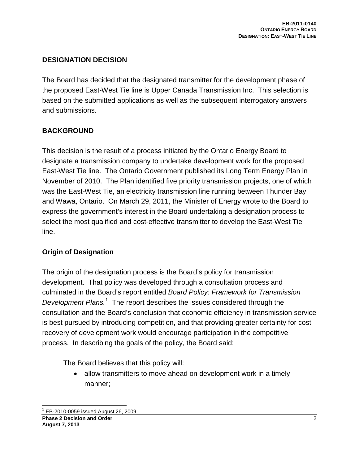#### **DESIGNATION DECISION**

The Board has decided that the designated transmitter for the development phase of the proposed East-West Tie line is Upper Canada Transmission Inc. This selection is based on the submitted applications as well as the subsequent interrogatory answers and submissions.

#### **BACKGROUND**

This decision is the result of a process initiated by the Ontario Energy Board to designate a transmission company to undertake development work for the proposed East-West Tie line. The Ontario Government published its Long Term Energy Plan in November of 2010. The Plan identified five priority transmission projects, one of which was the East-West Tie, an electricity transmission line running between Thunder Bay and Wawa, Ontario. On March 29, 2011, the Minister of Energy wrote to the Board to express the government's interest in the Board undertaking a designation process to select the most qualified and cost-effective transmitter to develop the East-West Tie line.

#### **Origin of Designation**

The origin of the designation process is the Board's policy for transmission development. That policy was developed through a consultation process and culminated in the Board's report entitled *Board Policy: Framework for Transmission*  Development Plans.<sup>[1](#page-1-0)</sup> The report describes the issues considered through the consultation and the Board's conclusion that economic efficiency in transmission service is best pursued by introducing competition, and that providing greater certainty for cost recovery of development work would encourage participation in the competitive process. In describing the goals of the policy, the Board said:

The Board believes that this policy will:

• allow transmitters to move ahead on development work in a timely manner;

<span id="page-1-0"></span>**Phase 2 Decision and Order** 2 **August 7, 2013**  $1$  EB-2010-0059 issued August 26, 2009.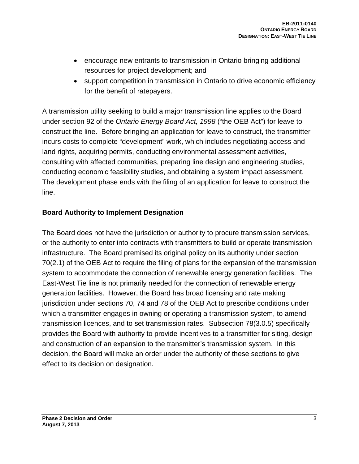- encourage new entrants to transmission in Ontario bringing additional resources for project development; and
- support competition in transmission in Ontario to drive economic efficiency for the benefit of ratepayers.

A transmission utility seeking to build a major transmission line applies to the Board under section 92 of the *Ontario Energy Board Act, 1998* ("the OEB Act") for leave to construct the line. Before bringing an application for leave to construct, the transmitter incurs costs to complete "development" work, which includes negotiating access and land rights, acquiring permits, conducting environmental assessment activities, consulting with affected communities, preparing line design and engineering studies, conducting economic feasibility studies, and obtaining a system impact assessment. The development phase ends with the filing of an application for leave to construct the line.

#### **Board Authority to Implement Designation**

The Board does not have the jurisdiction or authority to procure transmission services, or the authority to enter into contracts with transmitters to build or operate transmission infrastructure. The Board premised its original policy on its authority under section 70(2.1) of the OEB Act to require the filing of plans for the expansion of the transmission system to accommodate the connection of renewable energy generation facilities. The East-West Tie line is not primarily needed for the connection of renewable energy generation facilities. However, the Board has broad licensing and rate making jurisdiction under sections 70, 74 and 78 of the OEB Act to prescribe conditions under which a transmitter engages in owning or operating a transmission system, to amend transmission licences, and to set transmission rates. Subsection 78(3.0.5) specifically provides the Board with authority to provide incentives to a transmitter for siting, design and construction of an expansion to the transmitter's transmission system. In this decision, the Board will make an order under the authority of these sections to give effect to its decision on designation.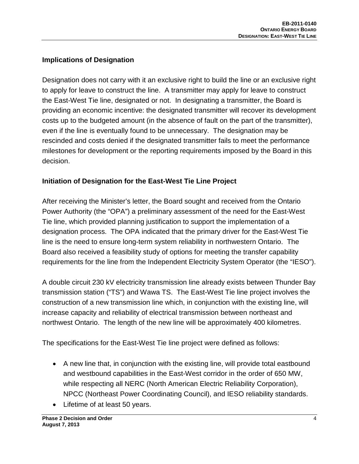#### **Implications of Designation**

Designation does not carry with it an exclusive right to build the line or an exclusive right to apply for leave to construct the line. A transmitter may apply for leave to construct the East-West Tie line, designated or not. In designating a transmitter, the Board is providing an economic incentive: the designated transmitter will recover its development costs up to the budgeted amount (in the absence of fault on the part of the transmitter), even if the line is eventually found to be unnecessary. The designation may be rescinded and costs denied if the designated transmitter fails to meet the performance milestones for development or the reporting requirements imposed by the Board in this decision.

#### **Initiation of Designation for the East-West Tie Line Project**

After receiving the Minister's letter, the Board sought and received from the Ontario Power Authority (the "OPA") a preliminary assessment of the need for the East-West Tie line, which provided planning justification to support the implementation of a designation process. The OPA indicated that the primary driver for the East-West Tie line is the need to ensure long-term system reliability in northwestern Ontario. The Board also received a feasibility study of options for meeting the transfer capability requirements for the line from the Independent Electricity System Operator (the "IESO").

A double circuit 230 kV electricity transmission line already exists between Thunder Bay transmission station ("TS") and Wawa TS. The East-West Tie line project involves the construction of a new transmission line which, in conjunction with the existing line, will increase capacity and reliability of electrical transmission between northeast and northwest Ontario. The length of the new line will be approximately 400 kilometres.

The specifications for the East-West Tie line project were defined as follows:

- A new line that, in conjunction with the existing line, will provide total eastbound and westbound capabilities in the East-West corridor in the order of 650 MW, while respecting all NERC (North American Electric Reliability Corporation), NPCC (Northeast Power Coordinating Council), and IESO reliability standards.
- Lifetime of at least 50 years.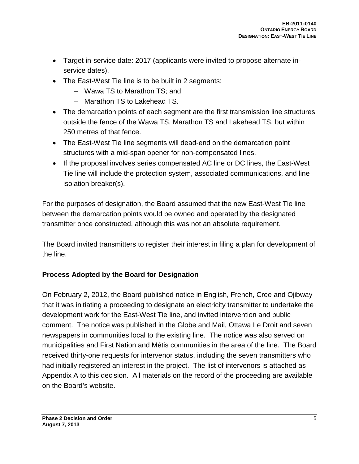- Target in-service date: 2017 (applicants were invited to propose alternate inservice dates).
- The East-West Tie line is to be built in 2 segments:
	- Wawa TS to Marathon TS; and
	- Marathon TS to Lakehead TS.
- The demarcation points of each segment are the first transmission line structures outside the fence of the Wawa TS, Marathon TS and Lakehead TS, but within 250 metres of that fence.
- The East-West Tie line segments will dead-end on the demarcation point structures with a mid-span opener for non-compensated lines.
- If the proposal involves series compensated AC line or DC lines, the East-West Tie line will include the protection system, associated communications, and line isolation breaker(s).

For the purposes of designation, the Board assumed that the new East-West Tie line between the demarcation points would be owned and operated by the designated transmitter once constructed, although this was not an absolute requirement.

The Board invited transmitters to register their interest in filing a plan for development of the line.

## **Process Adopted by the Board for Designation**

On February 2, 2012, the Board published notice in English, French, Cree and Ojibway that it was initiating a proceeding to designate an electricity transmitter to undertake the development work for the East-West Tie line, and invited intervention and public comment. The notice was published in the Globe and Mail, Ottawa Le Droit and seven newspapers in communities local to the existing line. The notice was also served on municipalities and First Nation and Métis communities in the area of the line. The Board received thirty-one requests for intervenor status, including the seven transmitters who had initially registered an interest in the project. The list of intervenors is attached as Appendix A to this decision. All materials on the record of the proceeding are available on the Board's website.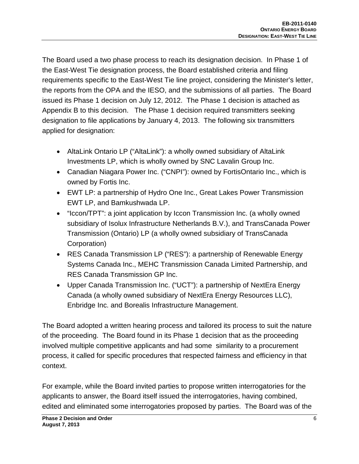The Board used a two phase process to reach its designation decision. In Phase 1 of the East-West Tie designation process, the Board established criteria and filing requirements specific to the East-West Tie line project, considering the Minister's letter, the reports from the OPA and the IESO, and the submissions of all parties. The Board issued its Phase 1 decision on July 12, 2012. The Phase 1 decision is attached as Appendix B to this decision. The Phase 1 decision required transmitters seeking designation to file applications by January 4, 2013. The following six transmitters applied for designation:

- AltaLink Ontario LP ("AltaLink"): a wholly owned subsidiary of AltaLink Investments LP, which is wholly owned by SNC Lavalin Group Inc.
- Canadian Niagara Power Inc. ("CNPI"): owned by FortisOntario Inc., which is owned by Fortis Inc.
- EWT LP: a partnership of Hydro One Inc., Great Lakes Power Transmission EWT LP, and Bamkushwada LP.
- "Iccon/TPT": a joint application by Iccon Transmission Inc. (a wholly owned subsidiary of Isolux Infrastructure Netherlands B.V.), and TransCanada Power Transmission (Ontario) LP (a wholly owned subsidiary of TransCanada Corporation)
- RES Canada Transmission LP ("RES"): a partnership of Renewable Energy Systems Canada Inc., MEHC Transmission Canada Limited Partnership, and RES Canada Transmission GP Inc.
- Upper Canada Transmission Inc. ("UCT"): a partnership of NextEra Energy Canada (a wholly owned subsidiary of NextEra Energy Resources LLC), Enbridge Inc. and Borealis Infrastructure Management.

The Board adopted a written hearing process and tailored its process to suit the nature of the proceeding. The Board found in its Phase 1 decision that as the proceeding involved multiple competitive applicants and had some similarity to a procurement process, it called for specific procedures that respected fairness and efficiency in that context.

For example, while the Board invited parties to propose written interrogatories for the applicants to answer, the Board itself issued the interrogatories, having combined, edited and eliminated some interrogatories proposed by parties. The Board was of the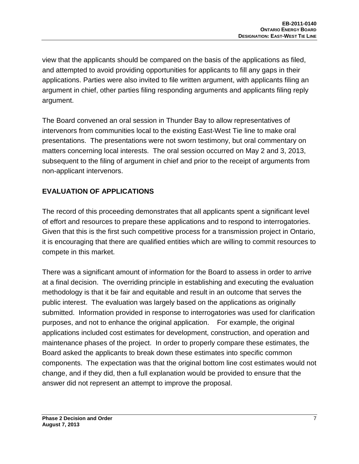view that the applicants should be compared on the basis of the applications as filed, and attempted to avoid providing opportunities for applicants to fill any gaps in their applications. Parties were also invited to file written argument, with applicants filing an argument in chief, other parties filing responding arguments and applicants filing reply argument.

The Board convened an oral session in Thunder Bay to allow representatives of intervenors from communities local to the existing East-West Tie line to make oral presentations. The presentations were not sworn testimony, but oral commentary on matters concerning local interests. The oral session occurred on May 2 and 3, 2013, subsequent to the filing of argument in chief and prior to the receipt of arguments from non-applicant intervenors.

#### **EVALUATION OF APPLICATIONS**

The record of this proceeding demonstrates that all applicants spent a significant level of effort and resources to prepare these applications and to respond to interrogatories. Given that this is the first such competitive process for a transmission project in Ontario, it is encouraging that there are qualified entities which are willing to commit resources to compete in this market.

There was a significant amount of information for the Board to assess in order to arrive at a final decision. The overriding principle in establishing and executing the evaluation methodology is that it be fair and equitable and result in an outcome that serves the public interest. The evaluation was largely based on the applications as originally submitted. Information provided in response to interrogatories was used for clarification purposes, and not to enhance the original application. For example, the original applications included cost estimates for development, construction, and operation and maintenance phases of the project. In order to properly compare these estimates, the Board asked the applicants to break down these estimates into specific common components. The expectation was that the original bottom line cost estimates would not change, and if they did, then a full explanation would be provided to ensure that the answer did not represent an attempt to improve the proposal.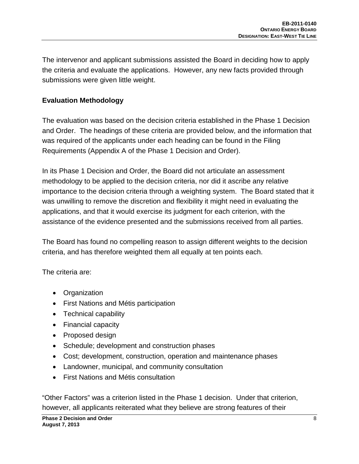The intervenor and applicant submissions assisted the Board in deciding how to apply the criteria and evaluate the applications. However, any new facts provided through submissions were given little weight.

#### **Evaluation Methodology**

The evaluation was based on the decision criteria established in the Phase 1 Decision and Order. The headings of these criteria are provided below, and the information that was required of the applicants under each heading can be found in the Filing Requirements (Appendix A of the Phase 1 Decision and Order).

In its Phase 1 Decision and Order, the Board did not articulate an assessment methodology to be applied to the decision criteria, nor did it ascribe any relative importance to the decision criteria through a weighting system. The Board stated that it was unwilling to remove the discretion and flexibility it might need in evaluating the applications, and that it would exercise its judgment for each criterion, with the assistance of the evidence presented and the submissions received from all parties.

The Board has found no compelling reason to assign different weights to the decision criteria, and has therefore weighted them all equally at ten points each.

The criteria are:

- Organization
- First Nations and Métis participation
- Technical capability
- Financial capacity
- Proposed design
- Schedule; development and construction phases
- Cost; development, construction, operation and maintenance phases
- Landowner, municipal, and community consultation
- First Nations and Métis consultation

"Other Factors" was a criterion listed in the Phase 1 decision. Under that criterion, however, all applicants reiterated what they believe are strong features of their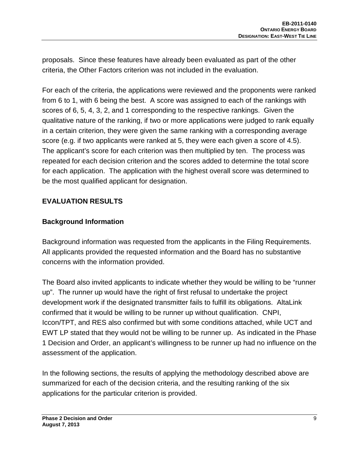proposals. Since these features have already been evaluated as part of the other criteria, the Other Factors criterion was not included in the evaluation.

For each of the criteria, the applications were reviewed and the proponents were ranked from 6 to 1, with 6 being the best. A score was assigned to each of the rankings with scores of 6, 5, 4, 3, 2, and 1 corresponding to the respective rankings. Given the qualitative nature of the ranking, if two or more applications were judged to rank equally in a certain criterion, they were given the same ranking with a corresponding average score (e.g. if two applicants were ranked at 5, they were each given a score of 4.5). The applicant's score for each criterion was then multiplied by ten. The process was repeated for each decision criterion and the scores added to determine the total score for each application. The application with the highest overall score was determined to be the most qualified applicant for designation.

#### **EVALUATION RESULTS**

#### **Background Information**

Background information was requested from the applicants in the Filing Requirements. All applicants provided the requested information and the Board has no substantive concerns with the information provided.

The Board also invited applicants to indicate whether they would be willing to be "runner up". The runner up would have the right of first refusal to undertake the project development work if the designated transmitter fails to fulfill its obligations. AltaLink confirmed that it would be willing to be runner up without qualification. CNPI, Iccon/TPT, and RES also confirmed but with some conditions attached, while UCT and EWT LP stated that they would not be willing to be runner up. As indicated in the Phase 1 Decision and Order, an applicant's willingness to be runner up had no influence on the assessment of the application.

In the following sections, the results of applying the methodology described above are summarized for each of the decision criteria, and the resulting ranking of the six applications for the particular criterion is provided.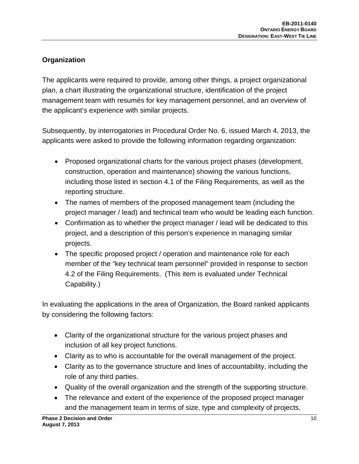## **Organization**

The applicants were required to provide, among other things, a project organizational plan, a chart illustrating the organizational structure, identification of the project management team with resumés for key management personnel, and an overview of the applicant's experience with similar projects.

Subsequently, by interrogatories in Procedural Order No. 6, issued March 4, 2013, the applicants were asked to provide the following information regarding organization:

- Proposed organizational charts for the various project phases (development, construction, operation and maintenance) showing the various functions, including those listed in section 4.1 of the Filing Requirements, as well as the reporting structure.
- The names of members of the proposed management team (including the project manager / lead) and technical team who would be leading each function.
- Confirmation as to whether the project manager / lead will be dedicated to this project, and a description of this person's experience in managing similar projects.
- The specific proposed project / operation and maintenance role for each member of the "key technical team personnel" provided in response to section 4.2 of the Filing Requirements. (This item is evaluated under Technical Capability.)

In evaluating the applications in the area of Organization, the Board ranked applicants by considering the following factors:

- Clarity of the organizational structure for the various project phases and inclusion of all key project functions.
- Clarity as to who is accountable for the overall management of the project.
- Clarity as to the governance structure and lines of accountability, including the role of any third parties.
- Quality of the overall organization and the strength of the supporting structure.
- The relevance and extent of the experience of the proposed project manager and the management team in terms of size, type and complexity of projects.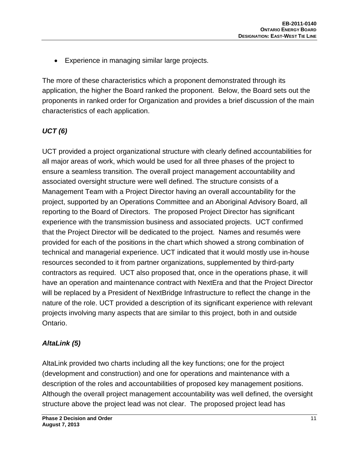• Experience in managing similar large projects.

The more of these characteristics which a proponent demonstrated through its application, the higher the Board ranked the proponent. Below, the Board sets out the proponents in ranked order for Organization and provides a brief discussion of the main characteristics of each application.

#### *UCT (6)*

UCT provided a project organizational structure with clearly defined accountabilities for all major areas of work, which would be used for all three phases of the project to ensure a seamless transition. The overall project management accountability and associated oversight structure were well defined. The structure consists of a Management Team with a Project Director having an overall accountability for the project, supported by an Operations Committee and an Aboriginal Advisory Board, all reporting to the Board of Directors. The proposed Project Director has significant experience with the transmission business and associated projects. UCT confirmed that the Project Director will be dedicated to the project. Names and resumés were provided for each of the positions in the chart which showed a strong combination of technical and managerial experience. UCT indicated that it would mostly use in-house resources seconded to it from partner organizations, supplemented by third-party contractors as required. UCT also proposed that, once in the operations phase, it will have an operation and maintenance contract with NextEra and that the Project Director will be replaced by a President of NextBridge Infrastructure to reflect the change in the nature of the role. UCT provided a description of its significant experience with relevant projects involving many aspects that are similar to this project, both in and outside Ontario.

## *AltaLink (5)*

AltaLink provided two charts including all the key functions; one for the project (development and construction) and one for operations and maintenance with a description of the roles and accountabilities of proposed key management positions. Although the overall project management accountability was well defined, the oversight structure above the project lead was not clear. The proposed project lead has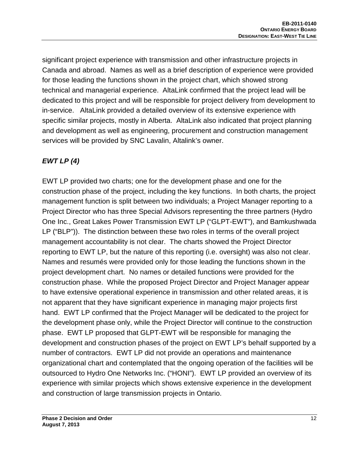significant project experience with transmission and other infrastructure projects in Canada and abroad. Names as well as a brief description of experience were provided for those leading the functions shown in the project chart, which showed strong technical and managerial experience. AltaLink confirmed that the project lead will be dedicated to this project and will be responsible for project delivery from development to in-service. AltaLink provided a detailed overview of its extensive experience with specific similar projects, mostly in Alberta. AltaLink also indicated that project planning and development as well as engineering, procurement and construction management services will be provided by SNC Lavalin, Altalink's owner.

## *EWT LP (4)*

EWT LP provided two charts; one for the development phase and one for the construction phase of the project, including the key functions. In both charts, the project management function is split between two individuals; a Project Manager reporting to a Project Director who has three Special Advisors representing the three partners (Hydro One Inc., Great Lakes Power Transmission EWT LP ("GLPT-EWT"), and Bamkushwada LP ("BLP")). The distinction between these two roles in terms of the overall project management accountability is not clear. The charts showed the Project Director reporting to EWT LP, but the nature of this reporting (i.e. oversight) was also not clear. Names and resumés were provided only for those leading the functions shown in the project development chart. No names or detailed functions were provided for the construction phase. While the proposed Project Director and Project Manager appear to have extensive operational experience in transmission and other related areas, it is not apparent that they have significant experience in managing major projects first hand. EWT LP confirmed that the Project Manager will be dedicated to the project for the development phase only, while the Project Director will continue to the construction phase. EWT LP proposed that GLPT-EWT will be responsible for managing the development and construction phases of the project on EWT LP's behalf supported by a number of contractors. EWT LP did not provide an operations and maintenance organizational chart and contemplated that the ongoing operation of the facilities will be outsourced to Hydro One Networks Inc. ("HONI"). EWT LP provided an overview of its experience with similar projects which shows extensive experience in the development and construction of large transmission projects in Ontario.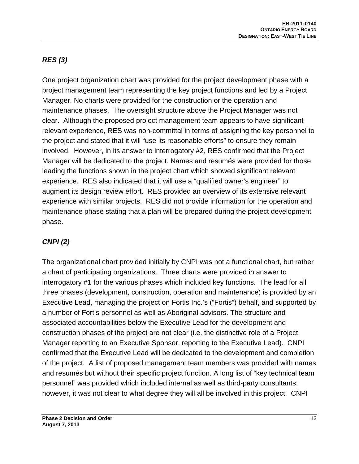# *RES (3)*

One project organization chart was provided for the project development phase with a project management team representing the key project functions and led by a Project Manager. No charts were provided for the construction or the operation and maintenance phases. The oversight structure above the Project Manager was not clear. Although the proposed project management team appears to have significant relevant experience, RES was non-committal in terms of assigning the key personnel to the project and stated that it will "use its reasonable efforts" to ensure they remain involved. However, in its answer to interrogatory #2, RES confirmed that the Project Manager will be dedicated to the project. Names and resumés were provided for those leading the functions shown in the project chart which showed significant relevant experience. RES also indicated that it will use a "qualified owner's engineer" to augment its design review effort. RES provided an overview of its extensive relevant experience with similar projects. RES did not provide information for the operation and maintenance phase stating that a plan will be prepared during the project development phase.

## *CNPI (2)*

The organizational chart provided initially by CNPI was not a functional chart, but rather a chart of participating organizations. Three charts were provided in answer to interrogatory #1 for the various phases which included key functions. The lead for all three phases (development, construction, operation and maintenance) is provided by an Executive Lead, managing the project on Fortis Inc.'s ("Fortis") behalf, and supported by a number of Fortis personnel as well as Aboriginal advisors. The structure and associated accountabilities below the Executive Lead for the development and construction phases of the project are not clear (i.e. the distinctive role of a Project Manager reporting to an Executive Sponsor, reporting to the Executive Lead). CNPI confirmed that the Executive Lead will be dedicated to the development and completion of the project. A list of proposed management team members was provided with names and resumés but without their specific project function. A long list of "key technical team personnel" was provided which included internal as well as third-party consultants; however, it was not clear to what degree they will all be involved in this project. CNPI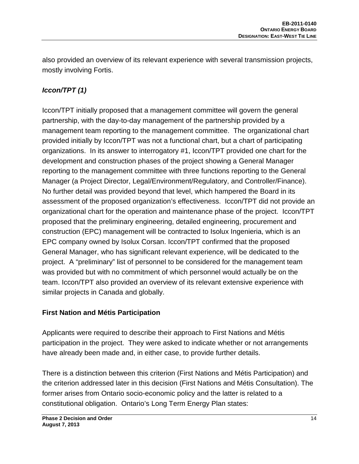also provided an overview of its relevant experience with several transmission projects, mostly involving Fortis.

## *Iccon/TPT (1)*

Iccon/TPT initially proposed that a management committee will govern the general partnership, with the day-to-day management of the partnership provided by a management team reporting to the management committee. The organizational chart provided initially by Iccon/TPT was not a functional chart, but a chart of participating organizations. In its answer to interrogatory #1, Iccon/TPT provided one chart for the development and construction phases of the project showing a General Manager reporting to the management committee with three functions reporting to the General Manager (a Project Director, Legal/Environment/Regulatory, and Controller/Finance). No further detail was provided beyond that level, which hampered the Board in its assessment of the proposed organization's effectiveness. Iccon/TPT did not provide an organizational chart for the operation and maintenance phase of the project. Iccon/TPT proposed that the preliminary engineering, detailed engineering, procurement and construction (EPC) management will be contracted to Isolux Ingenieria, which is an EPC company owned by Isolux Corsan. Iccon/TPT confirmed that the proposed General Manager, who has significant relevant experience, will be dedicated to the project. A "preliminary" list of personnel to be considered for the management team was provided but with no commitment of which personnel would actually be on the team. Iccon/TPT also provided an overview of its relevant extensive experience with similar projects in Canada and globally.

#### **First Nation and Métis Participation**

Applicants were required to describe their approach to First Nations and Métis participation in the project. They were asked to indicate whether or not arrangements have already been made and, in either case, to provide further details.

There is a distinction between this criterion (First Nations and Métis Participation) and the criterion addressed later in this decision (First Nations and Métis Consultation). The former arises from Ontario socio-economic policy and the latter is related to a constitutional obligation. Ontario's Long Term Energy Plan states: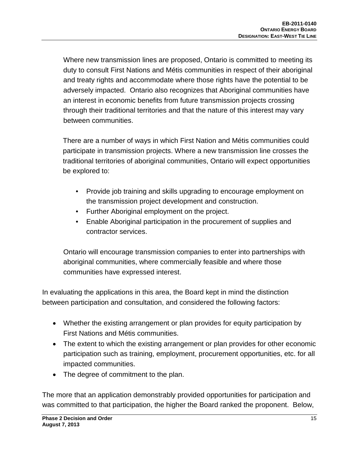Where new transmission lines are proposed, Ontario is committed to meeting its duty to consult First Nations and Métis communities in respect of their aboriginal and treaty rights and accommodate where those rights have the potential to be adversely impacted. Ontario also recognizes that Aboriginal communities have an interest in economic benefits from future transmission projects crossing through their traditional territories and that the nature of this interest may vary between communities.

There are a number of ways in which First Nation and Métis communities could participate in transmission projects. Where a new transmission line crosses the traditional territories of aboriginal communities, Ontario will expect opportunities be explored to:

- Provide job training and skills upgrading to encourage employment on the transmission project development and construction.
- Further Aboriginal employment on the project.
- Enable Aboriginal participation in the procurement of supplies and contractor services.

Ontario will encourage transmission companies to enter into partnerships with aboriginal communities, where commercially feasible and where those communities have expressed interest.

In evaluating the applications in this area, the Board kept in mind the distinction between participation and consultation, and considered the following factors:

- Whether the existing arrangement or plan provides for equity participation by First Nations and Métis communities.
- The extent to which the existing arrangement or plan provides for other economic participation such as training, employment, procurement opportunities, etc. for all impacted communities.
- The degree of commitment to the plan.

The more that an application demonstrably provided opportunities for participation and was committed to that participation, the higher the Board ranked the proponent. Below,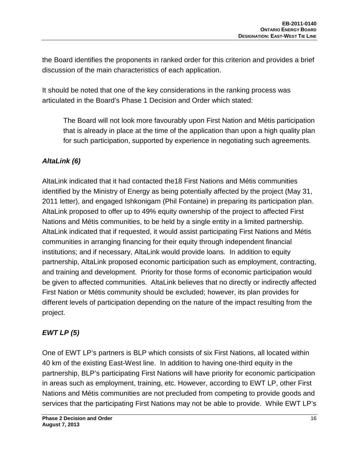the Board identifies the proponents in ranked order for this criterion and provides a brief discussion of the main characteristics of each application.

It should be noted that one of the key considerations in the ranking process was articulated in the Board's Phase 1 Decision and Order which stated:

The Board will not look more favourably upon First Nation and Métis participation that is already in place at the time of the application than upon a high quality plan for such participation, supported by experience in negotiating such agreements.

## *AltaLink (6)*

AltaLink indicated that it had contacted the18 First Nations and Métis communities identified by the Ministry of Energy as being potentially affected by the project (May 31, 2011 letter), and engaged Ishkonigam (Phil Fontaine) in preparing its participation plan. AltaLink proposed to offer up to 49% equity ownership of the project to affected First Nations and Métis communities, to be held by a single entity in a limited partnership. AltaLink indicated that if requested, it would assist participating First Nations and Métis communities in arranging financing for their equity through independent financial institutions; and if necessary, AltaLink would provide loans. In addition to equity partnership, AltaLink proposed economic participation such as employment, contracting, and training and development. Priority for those forms of economic participation would be given to affected communities. AltaLink believes that no directly or indirectly affected First Nation or Métis community should be excluded; however, its plan provides for different levels of participation depending on the nature of the impact resulting from the project.

## *EWT LP (5)*

One of EWT LP's partners is BLP which consists of six First Nations, all located within 40 km of the existing East-West line. In addition to having one-third equity in the partnership, BLP's participating First Nations will have priority for economic participation in areas such as employment, training, etc. However, according to EWT LP, other First Nations and Métis communities are not precluded from competing to provide goods and services that the participating First Nations may not be able to provide. While EWT LP's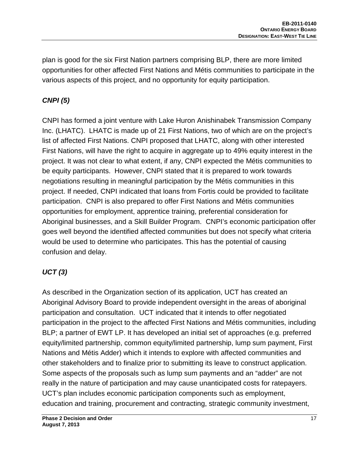plan is good for the six First Nation partners comprising BLP, there are more limited opportunities for other affected First Nations and Métis communities to participate in the various aspects of this project, and no opportunity for equity participation.

## *CNPI (5)*

CNPI has formed a joint venture with Lake Huron Anishinabek Transmission Company Inc. (LHATC). LHATC is made up of 21 First Nations, two of which are on the project's list of affected First Nations. CNPI proposed that LHATC, along with other interested First Nations, will have the right to acquire in aggregate up to 49% equity interest in the project. It was not clear to what extent, if any, CNPI expected the Métis communities to be equity participants. However, CNPI stated that it is prepared to work towards negotiations resulting in meaningful participation by the Métis communities in this project. If needed, CNPI indicated that loans from Fortis could be provided to facilitate participation. CNPI is also prepared to offer First Nations and Métis communities opportunities for employment, apprentice training, preferential consideration for Aboriginal businesses, and a Skill Builder Program. CNPI's economic participation offer goes well beyond the identified affected communities but does not specify what criteria would be used to determine who participates. This has the potential of causing confusion and delay.

## *UCT (3)*

As described in the Organization section of its application, UCT has created an Aboriginal Advisory Board to provide independent oversight in the areas of aboriginal participation and consultation. UCT indicated that it intends to offer negotiated participation in the project to the affected First Nations and Métis communities, including BLP; a partner of EWT LP. It has developed an initial set of approaches (e.g. preferred equity/limited partnership, common equity/limited partnership, lump sum payment, First Nations and Métis Adder) which it intends to explore with affected communities and other stakeholders and to finalize prior to submitting its leave to construct application. Some aspects of the proposals such as lump sum payments and an "adder" are not really in the nature of participation and may cause unanticipated costs for ratepayers. UCT's plan includes economic participation components such as employment, education and training, procurement and contracting, strategic community investment,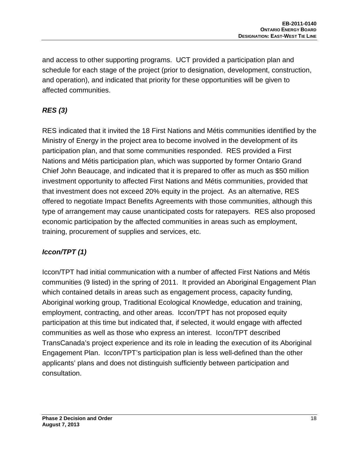and access to other supporting programs. UCT provided a participation plan and schedule for each stage of the project (prior to designation, development, construction, and operation), and indicated that priority for these opportunities will be given to affected communities.

# *RES (3)*

RES indicated that it invited the 18 First Nations and Métis communities identified by the Ministry of Energy in the project area to become involved in the development of its participation plan, and that some communities responded. RES provided a First Nations and Métis participation plan, which was supported by former Ontario Grand Chief John Beaucage, and indicated that it is prepared to offer as much as \$50 million investment opportunity to affected First Nations and Métis communities, provided that that investment does not exceed 20% equity in the project. As an alternative, RES offered to negotiate Impact Benefits Agreements with those communities, although this type of arrangement may cause unanticipated costs for ratepayers. RES also proposed economic participation by the affected communities in areas such as employment, training, procurement of supplies and services, etc.

## *Iccon/TPT (1)*

Iccon/TPT had initial communication with a number of affected First Nations and Métis communities (9 listed) in the spring of 2011. It provided an Aboriginal Engagement Plan which contained details in areas such as engagement process, capacity funding, Aboriginal working group, Traditional Ecological Knowledge, education and training, employment, contracting, and other areas. Iccon/TPT has not proposed equity participation at this time but indicated that, if selected, it would engage with affected communities as well as those who express an interest. Iccon/TPT described TransCanada's project experience and its role in leading the execution of its Aboriginal Engagement Plan. Iccon/TPT's participation plan is less well-defined than the other applicants' plans and does not distinguish sufficiently between participation and consultation.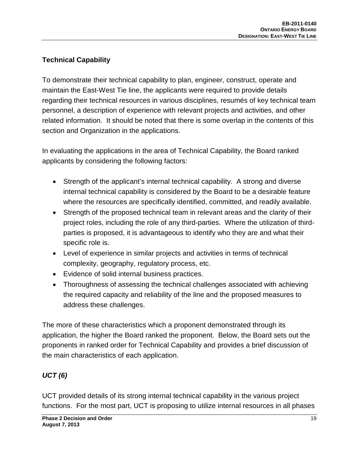## **Technical Capability**

To demonstrate their technical capability to plan, engineer, construct, operate and maintain the East-West Tie line, the applicants were required to provide details regarding their technical resources in various disciplines, resumés of key technical team personnel, a description of experience with relevant projects and activities, and other related information. It should be noted that there is some overlap in the contents of this section and Organization in the applications.

In evaluating the applications in the area of Technical Capability, the Board ranked applicants by considering the following factors:

- Strength of the applicant's internal technical capability. A strong and diverse internal technical capability is considered by the Board to be a desirable feature where the resources are specifically identified, committed, and readily available.
- Strength of the proposed technical team in relevant areas and the clarity of their project roles, including the role of any third-parties. Where the utilization of thirdparties is proposed, it is advantageous to identify who they are and what their specific role is.
- Level of experience in similar projects and activities in terms of technical complexity, geography, regulatory process, etc.
- Evidence of solid internal business practices.
- Thoroughness of assessing the technical challenges associated with achieving the required capacity and reliability of the line and the proposed measures to address these challenges.

The more of these characteristics which a proponent demonstrated through its application, the higher the Board ranked the proponent. Below, the Board sets out the proponents in ranked order for Technical Capability and provides a brief discussion of the main characteristics of each application.

# *UCT (6)*

UCT provided details of its strong internal technical capability in the various project functions. For the most part, UCT is proposing to utilize internal resources in all phases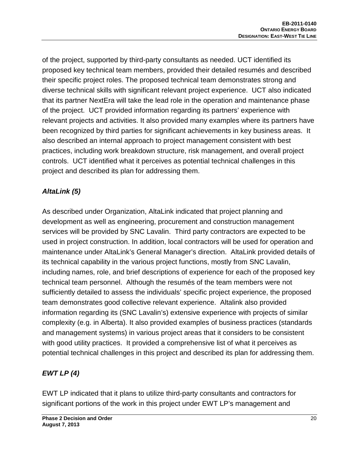of the project, supported by third-party consultants as needed. UCT identified its proposed key technical team members, provided their detailed resumés and described their specific project roles. The proposed technical team demonstrates strong and diverse technical skills with significant relevant project experience. UCT also indicated that its partner NextEra will take the lead role in the operation and maintenance phase of the project. UCT provided information regarding its partners' experience with relevant projects and activities. It also provided many examples where its partners have been recognized by third parties for significant achievements in key business areas. It also described an internal approach to project management consistent with best practices, including work breakdown structure, risk management, and overall project controls. UCT identified what it perceives as potential technical challenges in this project and described its plan for addressing them.

#### *AltaLink (5)*

As described under Organization, AltaLink indicated that project planning and development as well as engineering, procurement and construction management services will be provided by SNC Lavalin. Third party contractors are expected to be used in project construction. In addition, local contractors will be used for operation and maintenance under AltaLink's General Manager's direction. AltaLink provided details of its technical capability in the various project functions, mostly from SNC Lavalin, including names, role, and brief descriptions of experience for each of the proposed key technical team personnel. Although the resumés of the team members were not sufficiently detailed to assess the individuals' specific project experience, the proposed team demonstrates good collective relevant experience. Altalink also provided information regarding its (SNC Lavalin's) extensive experience with projects of similar complexity (e.g. in Alberta). It also provided examples of business practices (standards and management systems) in various project areas that it considers to be consistent with good utility practices. It provided a comprehensive list of what it perceives as potential technical challenges in this project and described its plan for addressing them.

## *EWT LP (4)*

EWT LP indicated that it plans to utilize third-party consultants and contractors for significant portions of the work in this project under EWT LP's management and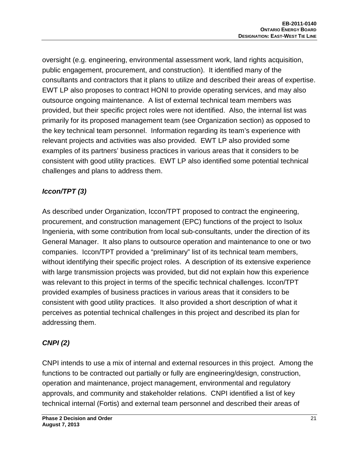oversight (e.g. engineering, environmental assessment work, land rights acquisition, public engagement, procurement, and construction). It identified many of the consultants and contractors that it plans to utilize and described their areas of expertise. EWT LP also proposes to contract HONI to provide operating services, and may also outsource ongoing maintenance. A list of external technical team members was provided, but their specific project roles were not identified. Also, the internal list was primarily for its proposed management team (see Organization section) as opposed to the key technical team personnel. Information regarding its team's experience with relevant projects and activities was also provided. EWT LP also provided some examples of its partners' business practices in various areas that it considers to be consistent with good utility practices. EWT LP also identified some potential technical challenges and plans to address them.

## *Iccon/TPT (3)*

As described under Organization, Iccon/TPT proposed to contract the engineering, procurement, and construction management (EPC) functions of the project to Isolux Ingenieria, with some contribution from local sub-consultants, under the direction of its General Manager. It also plans to outsource operation and maintenance to one or two companies. Iccon/TPT provided a "preliminary" list of its technical team members, without identifying their specific project roles. A description of its extensive experience with large transmission projects was provided, but did not explain how this experience was relevant to this project in terms of the specific technical challenges. Iccon/TPT provided examples of business practices in various areas that it considers to be consistent with good utility practices. It also provided a short description of what it perceives as potential technical challenges in this project and described its plan for addressing them.

## *CNPI (2)*

CNPI intends to use a mix of internal and external resources in this project. Among the functions to be contracted out partially or fully are engineering/design, construction, operation and maintenance, project management, environmental and regulatory approvals, and community and stakeholder relations. CNPI identified a list of key technical internal (Fortis) and external team personnel and described their areas of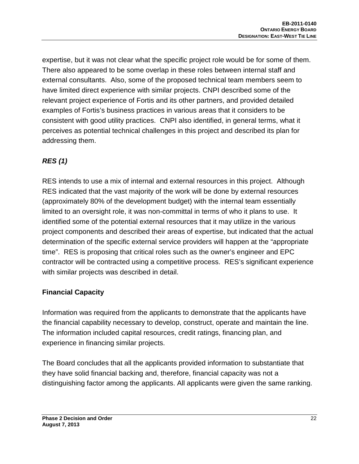expertise, but it was not clear what the specific project role would be for some of them. There also appeared to be some overlap in these roles between internal staff and external consultants. Also, some of the proposed technical team members seem to have limited direct experience with similar projects. CNPI described some of the relevant project experience of Fortis and its other partners, and provided detailed examples of Fortis's business practices in various areas that it considers to be consistent with good utility practices. CNPI also identified, in general terms, what it perceives as potential technical challenges in this project and described its plan for addressing them.

## *RES (1)*

RES intends to use a mix of internal and external resources in this project. Although RES indicated that the vast majority of the work will be done by external resources (approximately 80% of the development budget) with the internal team essentially limited to an oversight role, it was non-committal in terms of who it plans to use. It identified some of the potential external resources that it may utilize in the various project components and described their areas of expertise, but indicated that the actual determination of the specific external service providers will happen at the "appropriate time". RES is proposing that critical roles such as the owner's engineer and EPC contractor will be contracted using a competitive process. RES's significant experience with similar projects was described in detail.

#### **Financial Capacity**

Information was required from the applicants to demonstrate that the applicants have the financial capability necessary to develop, construct, operate and maintain the line. The information included capital resources, credit ratings, financing plan, and experience in financing similar projects.

The Board concludes that all the applicants provided information to substantiate that they have solid financial backing and, therefore, financial capacity was not a distinguishing factor among the applicants. All applicants were given the same ranking.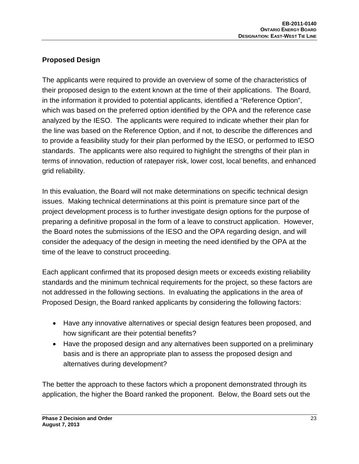## **Proposed Design**

The applicants were required to provide an overview of some of the characteristics of their proposed design to the extent known at the time of their applications. The Board, in the information it provided to potential applicants, identified a "Reference Option", which was based on the preferred option identified by the OPA and the reference case analyzed by the IESO. The applicants were required to indicate whether their plan for the line was based on the Reference Option, and if not, to describe the differences and to provide a feasibility study for their plan performed by the IESO, or performed to IESO standards. The applicants were also required to highlight the strengths of their plan in terms of innovation, reduction of ratepayer risk, lower cost, local benefits, and enhanced grid reliability.

In this evaluation, the Board will not make determinations on specific technical design issues. Making technical determinations at this point is premature since part of the project development process is to further investigate design options for the purpose of preparing a definitive proposal in the form of a leave to construct application. However, the Board notes the submissions of the IESO and the OPA regarding design, and will consider the adequacy of the design in meeting the need identified by the OPA at the time of the leave to construct proceeding.

Each applicant confirmed that its proposed design meets or exceeds existing reliability standards and the minimum technical requirements for the project, so these factors are not addressed in the following sections. In evaluating the applications in the area of Proposed Design, the Board ranked applicants by considering the following factors:

- Have any innovative alternatives or special design features been proposed, and how significant are their potential benefits?
- Have the proposed design and any alternatives been supported on a preliminary basis and is there an appropriate plan to assess the proposed design and alternatives during development?

The better the approach to these factors which a proponent demonstrated through its application, the higher the Board ranked the proponent. Below, the Board sets out the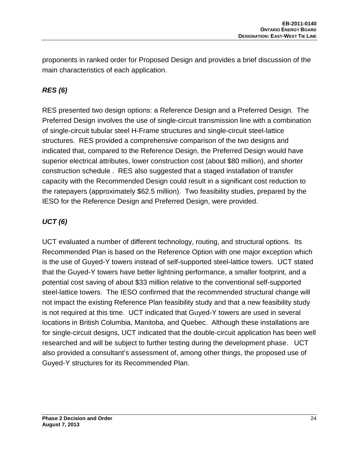proponents in ranked order for Proposed Design and provides a brief discussion of the main characteristics of each application.

## *RES (6)*

RES presented two design options: a Reference Design and a Preferred Design. The Preferred Design involves the use of single-circuit transmission line with a combination of single-circuit tubular steel H-Frame structures and single-circuit steel-lattice structures. RES provided a comprehensive comparison of the two designs and indicated that, compared to the Reference Design, the Preferred Design would have superior electrical attributes, lower construction cost (about \$80 million), and shorter construction schedule . RES also suggested that a staged installation of transfer capacity with the Recommended Design could result in a significant cost reduction to the ratepayers (approximately \$62.5 million). Two feasibility studies, prepared by the IESO for the Reference Design and Preferred Design, were provided.

## *UCT (6)*

UCT evaluated a number of different technology, routing, and structural options. Its Recommended Plan is based on the Reference Option with one major exception which is the use of Guyed-Y towers instead of self-supported steel-lattice towers. UCT stated that the Guyed-Y towers have better lightning performance, a smaller footprint, and a potential cost saving of about \$33 million relative to the conventional self-supported steel-lattice towers. The IESO confirmed that the recommended structural change will not impact the existing Reference Plan feasibility study and that a new feasibility study is not required at this time. UCT indicated that Guyed-Y towers are used in several locations in British Columbia, Manitoba, and Quebec. Although these installations are for single-circuit designs, UCT indicated that the double-circuit application has been well researched and will be subject to further testing during the development phase. UCT also provided a consultant's assessment of, among other things, the proposed use of Guyed-Y structures for its Recommended Plan.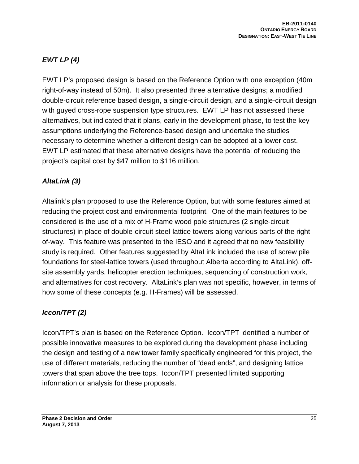# *EWT LP (4)*

EWT LP's proposed design is based on the Reference Option with one exception (40m right-of-way instead of 50m). It also presented three alternative designs; a modified double-circuit reference based design, a single-circuit design, and a single-circuit design with guyed cross-rope suspension type structures. EWT LP has not assessed these alternatives, but indicated that it plans, early in the development phase, to test the key assumptions underlying the Reference-based design and undertake the studies necessary to determine whether a different design can be adopted at a lower cost. EWT LP estimated that these alternative designs have the potential of reducing the project's capital cost by \$47 million to \$116 million.

#### *AltaLink (3)*

Altalink's plan proposed to use the Reference Option, but with some features aimed at reducing the project cost and environmental footprint. One of the main features to be considered is the use of a mix of H-Frame wood pole structures (2 single-circuit structures) in place of double-circuit steel-lattice towers along various parts of the rightof-way. This feature was presented to the IESO and it agreed that no new feasibility study is required. Other features suggested by AltaLink included the use of screw pile foundations for steel-lattice towers (used throughout Alberta according to AltaLink), offsite assembly yards, helicopter erection techniques, sequencing of construction work, and alternatives for cost recovery. AltaLink's plan was not specific, however, in terms of how some of these concepts (e.g. H-Frames) will be assessed.

## *Iccon/TPT (2)*

Iccon/TPT's plan is based on the Reference Option. Iccon/TPT identified a number of possible innovative measures to be explored during the development phase including the design and testing of a new tower family specifically engineered for this project, the use of different materials, reducing the number of "dead ends", and designing lattice towers that span above the tree tops. Iccon/TPT presented limited supporting information or analysis for these proposals.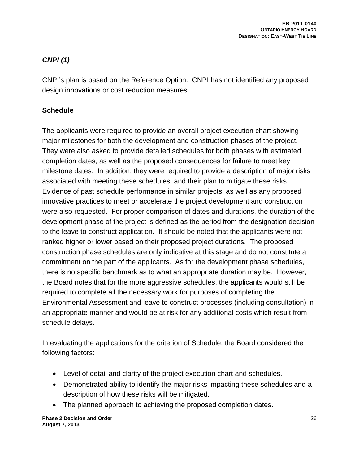# *CNPI (1)*

CNPI's plan is based on the Reference Option. CNPI has not identified any proposed design innovations or cost reduction measures.

## **Schedule**

The applicants were required to provide an overall project execution chart showing major milestones for both the development and construction phases of the project. They were also asked to provide detailed schedules for both phases with estimated completion dates, as well as the proposed consequences for failure to meet key milestone dates. In addition, they were required to provide a description of major risks associated with meeting these schedules, and their plan to mitigate these risks. Evidence of past schedule performance in similar projects, as well as any proposed innovative practices to meet or accelerate the project development and construction were also requested. For proper comparison of dates and durations, the duration of the development phase of the project is defined as the period from the designation decision to the leave to construct application. It should be noted that the applicants were not ranked higher or lower based on their proposed project durations. The proposed construction phase schedules are only indicative at this stage and do not constitute a commitment on the part of the applicants. As for the development phase schedules, there is no specific benchmark as to what an appropriate duration may be. However, the Board notes that for the more aggressive schedules, the applicants would still be required to complete all the necessary work for purposes of completing the Environmental Assessment and leave to construct processes (including consultation) in an appropriate manner and would be at risk for any additional costs which result from schedule delays.

In evaluating the applications for the criterion of Schedule, the Board considered the following factors:

- Level of detail and clarity of the project execution chart and schedules.
- Demonstrated ability to identify the major risks impacting these schedules and a description of how these risks will be mitigated.
- The planned approach to achieving the proposed completion dates.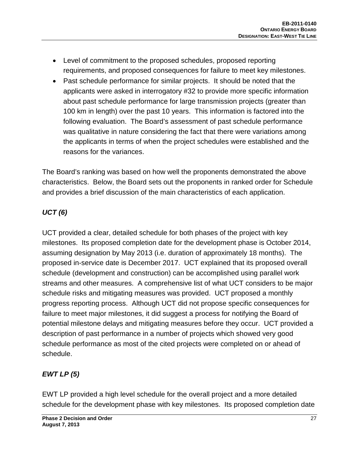- Level of commitment to the proposed schedules, proposed reporting requirements, and proposed consequences for failure to meet key milestones.
- Past schedule performance for similar projects. It should be noted that the applicants were asked in interrogatory #32 to provide more specific information about past schedule performance for large transmission projects (greater than 100 km in length) over the past 10 years. This information is factored into the following evaluation. The Board's assessment of past schedule performance was qualitative in nature considering the fact that there were variations among the applicants in terms of when the project schedules were established and the reasons for the variances.

The Board's ranking was based on how well the proponents demonstrated the above characteristics. Below, the Board sets out the proponents in ranked order for Schedule and provides a brief discussion of the main characteristics of each application.

# *UCT (6)*

UCT provided a clear, detailed schedule for both phases of the project with key milestones. Its proposed completion date for the development phase is October 2014, assuming designation by May 2013 (i.e. duration of approximately 18 months). The proposed in-service date is December 2017. UCT explained that its proposed overall schedule (development and construction) can be accomplished using parallel work streams and other measures. A comprehensive list of what UCT considers to be major schedule risks and mitigating measures was provided. UCT proposed a monthly progress reporting process. Although UCT did not propose specific consequences for failure to meet major milestones, it did suggest a process for notifying the Board of potential milestone delays and mitigating measures before they occur. UCT provided a description of past performance in a number of projects which showed very good schedule performance as most of the cited projects were completed on or ahead of schedule.

# *EWT LP (5)*

EWT LP provided a high level schedule for the overall project and a more detailed schedule for the development phase with key milestones. Its proposed completion date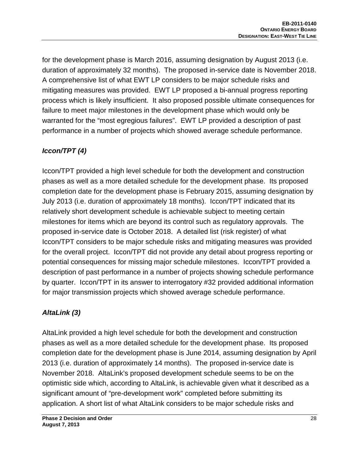for the development phase is March 2016, assuming designation by August 2013 (i.e. duration of approximately 32 months). The proposed in-service date is November 2018. A comprehensive list of what EWT LP considers to be major schedule risks and mitigating measures was provided. EWT LP proposed a bi-annual progress reporting process which is likely insufficient. It also proposed possible ultimate consequences for failure to meet major milestones in the development phase which would only be warranted for the "most egregious failures". EWT LP provided a description of past performance in a number of projects which showed average schedule performance.

## *Iccon/TPT (4)*

Iccon/TPT provided a high level schedule for both the development and construction phases as well as a more detailed schedule for the development phase. Its proposed completion date for the development phase is February 2015, assuming designation by July 2013 (i.e. duration of approximately 18 months). Iccon/TPT indicated that its relatively short development schedule is achievable subject to meeting certain milestones for items which are beyond its control such as regulatory approvals. The proposed in-service date is October 2018. A detailed list (risk register) of what Iccon/TPT considers to be major schedule risks and mitigating measures was provided for the overall project. Iccon/TPT did not provide any detail about progress reporting or potential consequences for missing major schedule milestones. Iccon/TPT provided a description of past performance in a number of projects showing schedule performance by quarter. Iccon/TPT in its answer to interrogatory #32 provided additional information for major transmission projects which showed average schedule performance.

## *AltaLink (3)*

AltaLink provided a high level schedule for both the development and construction phases as well as a more detailed schedule for the development phase. Its proposed completion date for the development phase is June 2014, assuming designation by April 2013 (i.e. duration of approximately 14 months). The proposed in-service date is November 2018. AltaLink's proposed development schedule seems to be on the optimistic side which, according to AltaLink, is achievable given what it described as a significant amount of "pre-development work" completed before submitting its application. A short list of what AltaLink considers to be major schedule risks and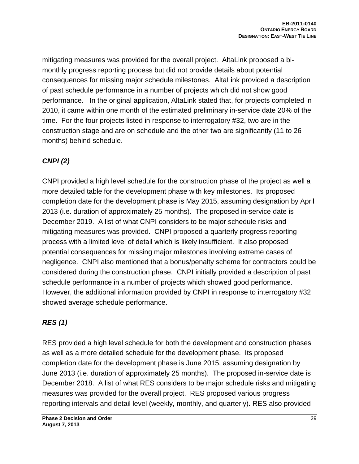mitigating measures was provided for the overall project. AltaLink proposed a bimonthly progress reporting process but did not provide details about potential consequences for missing major schedule milestones. AltaLink provided a description of past schedule performance in a number of projects which did not show good performance. In the original application, AltaLink stated that, for projects completed in 2010, it came within one month of the estimated preliminary in-service date 20% of the time. For the four projects listed in response to interrogatory #32, two are in the construction stage and are on schedule and the other two are significantly (11 to 26 months) behind schedule.

## *CNPI (2)*

CNPI provided a high level schedule for the construction phase of the project as well a more detailed table for the development phase with key milestones. Its proposed completion date for the development phase is May 2015, assuming designation by April 2013 (i.e. duration of approximately 25 months). The proposed in-service date is December 2019. A list of what CNPI considers to be major schedule risks and mitigating measures was provided. CNPI proposed a quarterly progress reporting process with a limited level of detail which is likely insufficient. It also proposed potential consequences for missing major milestones involving extreme cases of negligence. CNPI also mentioned that a bonus/penalty scheme for contractors could be considered during the construction phase. CNPI initially provided a description of past schedule performance in a number of projects which showed good performance. However, the additional information provided by CNPI in response to interrogatory #32 showed average schedule performance.

## *RES (1)*

RES provided a high level schedule for both the development and construction phases as well as a more detailed schedule for the development phase. Its proposed completion date for the development phase is June 2015, assuming designation by June 2013 (i.e. duration of approximately 25 months). The proposed in-service date is December 2018. A list of what RES considers to be major schedule risks and mitigating measures was provided for the overall project. RES proposed various progress reporting intervals and detail level (weekly, monthly, and quarterly). RES also provided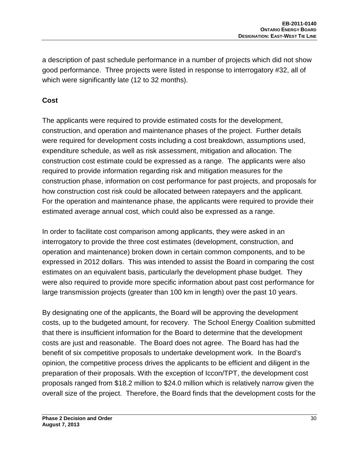a description of past schedule performance in a number of projects which did not show good performance. Three projects were listed in response to interrogatory #32, all of which were significantly late (12 to 32 months).

#### **Cost**

The applicants were required to provide estimated costs for the development, construction, and operation and maintenance phases of the project. Further details were required for development costs including a cost breakdown, assumptions used, expenditure schedule, as well as risk assessment, mitigation and allocation. The construction cost estimate could be expressed as a range. The applicants were also required to provide information regarding risk and mitigation measures for the construction phase, information on cost performance for past projects, and proposals for how construction cost risk could be allocated between ratepayers and the applicant. For the operation and maintenance phase, the applicants were required to provide their estimated average annual cost, which could also be expressed as a range.

In order to facilitate cost comparison among applicants, they were asked in an interrogatory to provide the three cost estimates (development, construction, and operation and maintenance) broken down in certain common components, and to be expressed in 2012 dollars. This was intended to assist the Board in comparing the cost estimates on an equivalent basis, particularly the development phase budget. They were also required to provide more specific information about past cost performance for large transmission projects (greater than 100 km in length) over the past 10 years.

By designating one of the applicants, the Board will be approving the development costs, up to the budgeted amount, for recovery. The School Energy Coalition submitted that there is insufficient information for the Board to determine that the development costs are just and reasonable. The Board does not agree. The Board has had the benefit of six competitive proposals to undertake development work. In the Board's opinion, the competitive process drives the applicants to be efficient and diligent in the preparation of their proposals. With the exception of Iccon/TPT, the development cost proposals ranged from \$18.2 million to \$24.0 million which is relatively narrow given the overall size of the project. Therefore, the Board finds that the development costs for the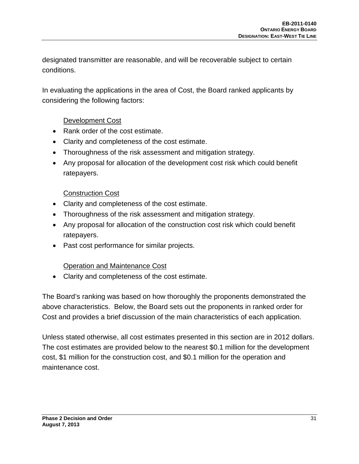designated transmitter are reasonable, and will be recoverable subject to certain conditions.

In evaluating the applications in the area of Cost, the Board ranked applicants by considering the following factors:

#### Development Cost

- Rank order of the cost estimate.
- Clarity and completeness of the cost estimate.
- Thoroughness of the risk assessment and mitigation strategy.
- Any proposal for allocation of the development cost risk which could benefit ratepayers.

#### Construction Cost

- Clarity and completeness of the cost estimate.
- Thoroughness of the risk assessment and mitigation strategy.
- Any proposal for allocation of the construction cost risk which could benefit ratepayers.
- Past cost performance for similar projects.

#### Operation and Maintenance Cost

• Clarity and completeness of the cost estimate.

The Board's ranking was based on how thoroughly the proponents demonstrated the above characteristics. Below, the Board sets out the proponents in ranked order for Cost and provides a brief discussion of the main characteristics of each application.

Unless stated otherwise, all cost estimates presented in this section are in 2012 dollars. The cost estimates are provided below to the nearest \$0.1 million for the development cost, \$1 million for the construction cost, and \$0.1 million for the operation and maintenance cost.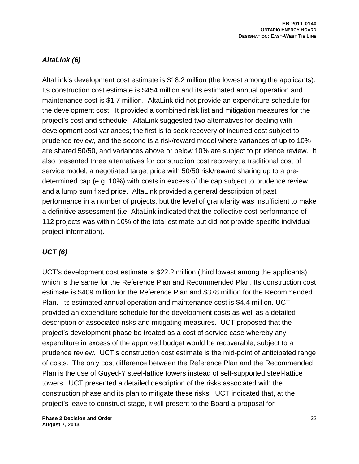## *AltaLink (6)*

AltaLink's development cost estimate is \$18.2 million (the lowest among the applicants). Its construction cost estimate is \$454 million and its estimated annual operation and maintenance cost is \$1.7 million.AltaLink did not provide an expenditure schedule for the development cost. It provided a combined risk list and mitigation measures for the project's cost and schedule. AltaLink suggested two alternatives for dealing with development cost variances; the first is to seek recovery of incurred cost subject to prudence review, and the second is a risk/reward model where variances of up to 10% are shared 50/50, and variances above or below 10% are subject to prudence review. It also presented three alternatives for construction cost recovery; a traditional cost of service model, a negotiated target price with 50/50 risk/reward sharing up to a predetermined cap (e.g. 10%) with costs in excess of the cap subject to prudence review, and a lump sum fixed price. AltaLink provided a general description of past performance in a number of projects, but the level of granularity was insufficient to make a definitive assessment (i.e. AltaLink indicated that the collective cost performance of 112 projects was within 10% of the total estimate but did not provide specific individual project information).

## *UCT (6)*

UCT's development cost estimate is \$22.2 million (third lowest among the applicants) which is the same for the Reference Plan and Recommended Plan. Its construction cost estimate is \$409 million for the Reference Plan and \$378 million for the Recommended Plan. Its estimated annual operation and maintenance cost is \$4.4 million. UCT provided an expenditure schedule for the development costs as well as a detailed description of associated risks and mitigating measures. UCT proposed that the project's development phase be treated as a cost of service case whereby any expenditure in excess of the approved budget would be recoverable, subject to a prudence review. UCT's construction cost estimate is the mid-point of anticipated range of costs. The only cost difference between the Reference Plan and the Recommended Plan is the use of Guyed-Y steel-lattice towers instead of self-supported steel-lattice towers. UCT presented a detailed description of the risks associated with the construction phase and its plan to mitigate these risks. UCT indicated that, at the project's leave to construct stage, it will present to the Board a proposal for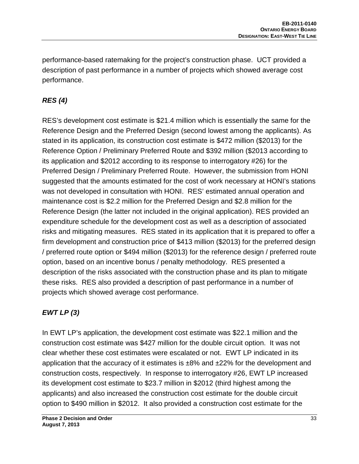performance-based ratemaking for the project's construction phase. UCT provided a description of past performance in a number of projects which showed average cost performance.

## *RES (4)*

RES's development cost estimate is \$21.4 million which is essentially the same for the Reference Design and the Preferred Design (second lowest among the applicants). As stated in its application, its construction cost estimate is \$472 million (\$2013) for the Reference Option / Preliminary Preferred Route and \$392 million (\$2013 according to its application and \$2012 according to its response to interrogatory #26) for the Preferred Design / Preliminary Preferred Route. However, the submission from HONI suggested that the amounts estimated for the cost of work necessary at HONI's stations was not developed in consultation with HONI. RES' estimated annual operation and maintenance cost is \$2.2 million for the Preferred Design and \$2.8 million for the Reference Design (the latter not included in the original application). RES provided an expenditure schedule for the development cost as well as a description of associated risks and mitigating measures. RES stated in its application that it is prepared to offer a firm development and construction price of \$413 million (\$2013) for the preferred design / preferred route option or \$494 million (\$2013) for the reference design / preferred route option, based on an incentive bonus / penalty methodology. RES presented a description of the risks associated with the construction phase and its plan to mitigate these risks. RES also provided a description of past performance in a number of projects which showed average cost performance.

## *EWT LP (3)*

In EWT LP's application, the development cost estimate was \$22.1 million and the construction cost estimate was \$427 million for the double circuit option. It was not clear whether these cost estimates were escalated or not. EWT LP indicated in its application that the accuracy of it estimates is  $\pm 8\%$  and  $\pm 22\%$  for the development and construction costs, respectively. In response to interrogatory #26, EWT LP increased its development cost estimate to \$23.7 million in \$2012 (third highest among the applicants) and also increased the construction cost estimate for the double circuit option to \$490 million in \$2012. It also provided a construction cost estimate for the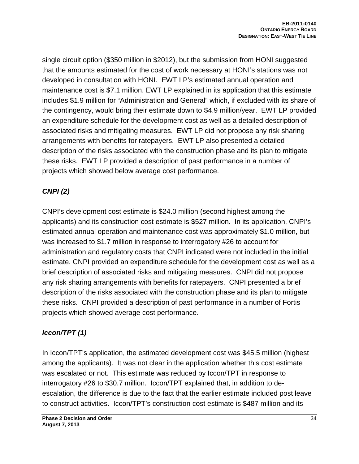single circuit option (\$350 million in \$2012), but the submission from HONI suggested that the amounts estimated for the cost of work necessary at HONI's stations was not developed in consultation with HONI. EWT LP's estimated annual operation and maintenance cost is \$7.1 million. EWT LP explained in its application that this estimate includes \$1.9 million for "Administration and General" which, if excluded with its share of the contingency, would bring their estimate down to \$4.9 million/year. EWT LP provided an expenditure schedule for the development cost as well as a detailed description of associated risks and mitigating measures. EWT LP did not propose any risk sharing arrangements with benefits for ratepayers. EWT LP also presented a detailed description of the risks associated with the construction phase and its plan to mitigate these risks. EWT LP provided a description of past performance in a number of projects which showed below average cost performance.

## *CNPI (2)*

CNPI's development cost estimate is \$24.0 million (second highest among the applicants) and its construction cost estimate is \$527 million. In its application, CNPI's estimated annual operation and maintenance cost was approximately \$1.0 million, but was increased to \$1.7 million in response to interrogatory #26 to account for administration and regulatory costs that CNPI indicated were not included in the initial estimate. CNPI provided an expenditure schedule for the development cost as well as a brief description of associated risks and mitigating measures. CNPI did not propose any risk sharing arrangements with benefits for ratepayers. CNPI presented a brief description of the risks associated with the construction phase and its plan to mitigate these risks. CNPI provided a description of past performance in a number of Fortis projects which showed average cost performance.

# *Iccon/TPT (1)*

In Iccon/TPT's application, the estimated development cost was \$45.5 million (highest among the applicants). It was not clear in the application whether this cost estimate was escalated or not. This estimate was reduced by Iccon/TPT in response to interrogatory #26 to \$30.7 million. Iccon/TPT explained that, in addition to deescalation, the difference is due to the fact that the earlier estimate included post leave to construct activities. Iccon/TPT's construction cost estimate is \$487 million and its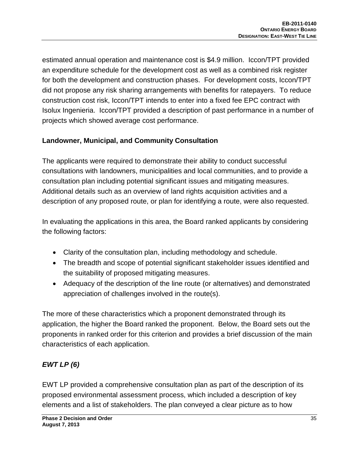estimated annual operation and maintenance cost is \$4.9 million. Iccon/TPT provided an expenditure schedule for the development cost as well as a combined risk register for both the development and construction phases. For development costs, Iccon/TPT did not propose any risk sharing arrangements with benefits for ratepayers. To reduce construction cost risk, Iccon/TPT intends to enter into a fixed fee EPC contract with Isolux Ingenieria. Iccon/TPT provided a description of past performance in a number of projects which showed average cost performance.

#### **Landowner, Municipal, and Community Consultation**

The applicants were required to demonstrate their ability to conduct successful consultations with landowners, municipalities and local communities, and to provide a consultation plan including potential significant issues and mitigating measures. Additional details such as an overview of land rights acquisition activities and a description of any proposed route, or plan for identifying a route, were also requested.

In evaluating the applications in this area, the Board ranked applicants by considering the following factors:

- Clarity of the consultation plan, including methodology and schedule.
- The breadth and scope of potential significant stakeholder issues identified and the suitability of proposed mitigating measures.
- Adequacy of the description of the line route (or alternatives) and demonstrated appreciation of challenges involved in the route(s).

The more of these characteristics which a proponent demonstrated through its application, the higher the Board ranked the proponent. Below, the Board sets out the proponents in ranked order for this criterion and provides a brief discussion of the main characteristics of each application.

## *EWT LP (6)*

EWT LP provided a comprehensive consultation plan as part of the description of its proposed environmental assessment process, which included a description of key elements and a list of stakeholders. The plan conveyed a clear picture as to how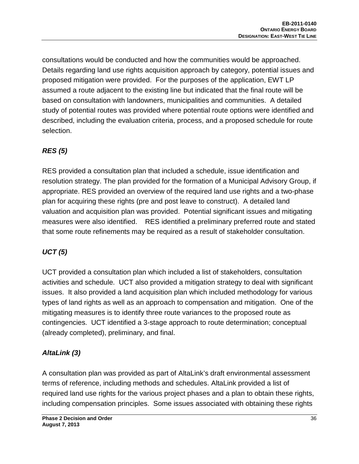consultations would be conducted and how the communities would be approached. Details regarding land use rights acquisition approach by category, potential issues and proposed mitigation were provided. For the purposes of the application, EWT LP assumed a route adjacent to the existing line but indicated that the final route will be based on consultation with landowners, municipalities and communities. A detailed study of potential routes was provided where potential route options were identified and described, including the evaluation criteria, process, and a proposed schedule for route selection.

## *RES (5)*

RES provided a consultation plan that included a schedule, issue identification and resolution strategy. The plan provided for the formation of a Municipal Advisory Group, if appropriate. RES provided an overview of the required land use rights and a two-phase plan for acquiring these rights (pre and post leave to construct). A detailed land valuation and acquisition plan was provided. Potential significant issues and mitigating measures were also identified. RES identified a preliminary preferred route and stated that some route refinements may be required as a result of stakeholder consultation.

# *UCT (5)*

UCT provided a consultation plan which included a list of stakeholders, consultation activities and schedule. UCT also provided a mitigation strategy to deal with significant issues. It also provided a land acquisition plan which included methodology for various types of land rights as well as an approach to compensation and mitigation. One of the mitigating measures is to identify three route variances to the proposed route as contingencies. UCT identified a 3-stage approach to route determination; conceptual (already completed), preliminary, and final.

## *AltaLink (3)*

A consultation plan was provided as part of AltaLink's draft environmental assessment terms of reference, including methods and schedules. AltaLink provided a list of required land use rights for the various project phases and a plan to obtain these rights, including compensation principles. Some issues associated with obtaining these rights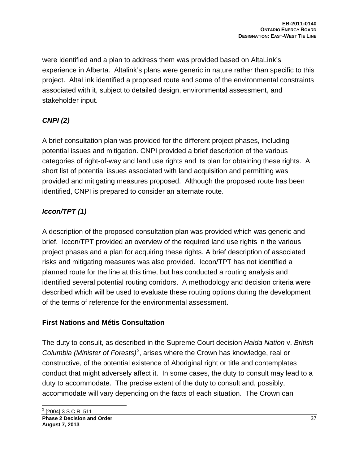were identified and a plan to address them was provided based on AltaLink's experience in Alberta. Altalink's plans were generic in nature rather than specific to this project. AltaLink identified a proposed route and some of the environmental constraints associated with it, subject to detailed design, environmental assessment, and stakeholder input.

# *CNPI (2)*

A brief consultation plan was provided for the different project phases, including potential issues and mitigation. CNPI provided a brief description of the various categories of right-of-way and land use rights and its plan for obtaining these rights. A short list of potential issues associated with land acquisition and permitting was provided and mitigating measures proposed. Although the proposed route has been identified, CNPI is prepared to consider an alternate route.

# *Iccon/TPT (1)*

A description of the proposed consultation plan was provided which was generic and brief. Iccon/TPT provided an overview of the required land use rights in the various project phases and a plan for acquiring these rights. A brief description of associated risks and mitigating measures was also provided. Iccon/TPT has not identified a planned route for the line at this time, but has conducted a routing analysis and identified several potential routing corridors. A methodology and decision criteria were described which will be used to evaluate these routing options during the development of the terms of reference for the environmental assessment.

## **First Nations and Métis Consultation**

<span id="page-36-0"></span>The duty to consult, as described in the Supreme Court decision *Haida Nation* v. *British Columbia (Minister of Forests)[2](#page-36-0)* , arises where the Crown has knowledge, real or constructive, of the potential existence of Aboriginal right or title and contemplates conduct that might adversely affect it. In some cases, the duty to consult may lead to a duty to accommodate. The precise extent of the duty to consult and, possibly, accommodate will vary depending on the facts of each situation. The Crown can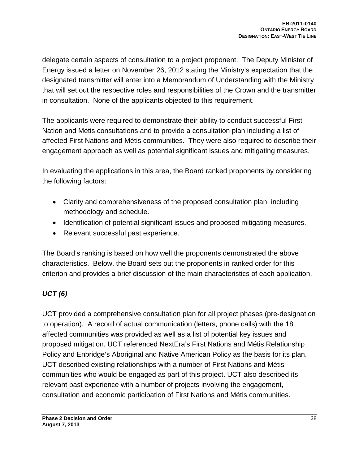delegate certain aspects of consultation to a project proponent. The Deputy Minister of Energy issued a letter on November 26, 2012 stating the Ministry's expectation that the designated transmitter will enter into a Memorandum of Understanding with the Ministry that will set out the respective roles and responsibilities of the Crown and the transmitter in consultation. None of the applicants objected to this requirement.

The applicants were required to demonstrate their ability to conduct successful First Nation and Métis consultations and to provide a consultation plan including a list of affected First Nations and Métis communities. They were also required to describe their engagement approach as well as potential significant issues and mitigating measures.

In evaluating the applications in this area, the Board ranked proponents by considering the following factors:

- Clarity and comprehensiveness of the proposed consultation plan, including methodology and schedule.
- Identification of potential significant issues and proposed mitigating measures.
- Relevant successful past experience.

The Board's ranking is based on how well the proponents demonstrated the above characteristics. Below, the Board sets out the proponents in ranked order for this criterion and provides a brief discussion of the main characteristics of each application.

# *UCT (6)*

UCT provided a comprehensive consultation plan for all project phases (pre-designation to operation). A record of actual communication (letters, phone calls) with the 18 affected communities was provided as well as a list of potential key issues and proposed mitigation. UCT referenced NextEra's First Nations and Métis Relationship Policy and Enbridge's Aboriginal and Native American Policy as the basis for its plan. UCT described existing relationships with a number of First Nations and Métis communities who would be engaged as part of this project. UCT also described its relevant past experience with a number of projects involving the engagement, consultation and economic participation of First Nations and Métis communities.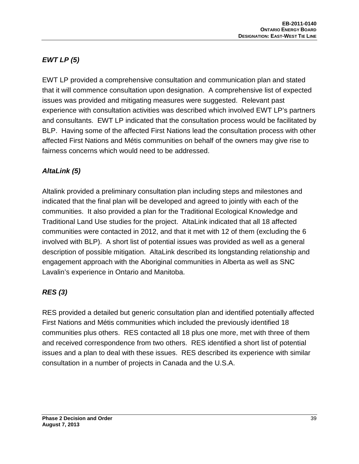# *EWT LP (5)*

EWT LP provided a comprehensive consultation and communication plan and stated that it will commence consultation upon designation. A comprehensive list of expected issues was provided and mitigating measures were suggested. Relevant past experience with consultation activities was described which involved EWT LP's partners and consultants. EWT LP indicated that the consultation process would be facilitated by BLP. Having some of the affected First Nations lead the consultation process with other affected First Nations and Métis communities on behalf of the owners may give rise to fairness concerns which would need to be addressed.

## *AltaLink (5)*

Altalink provided a preliminary consultation plan including steps and milestones and indicated that the final plan will be developed and agreed to jointly with each of the communities. It also provided a plan for the Traditional Ecological Knowledge and Traditional Land Use studies for the project. AltaLink indicated that all 18 affected communities were contacted in 2012, and that it met with 12 of them (excluding the 6 involved with BLP). A short list of potential issues was provided as well as a general description of possible mitigation. AltaLink described its longstanding relationship and engagement approach with the Aboriginal communities in Alberta as well as SNC Lavalin's experience in Ontario and Manitoba.

## *RES (3)*

RES provided a detailed but generic consultation plan and identified potentially affected First Nations and Métis communities which included the previously identified 18 communities plus others. RES contacted all 18 plus one more, met with three of them and received correspondence from two others. RES identified a short list of potential issues and a plan to deal with these issues. RES described its experience with similar consultation in a number of projects in Canada and the U.S.A.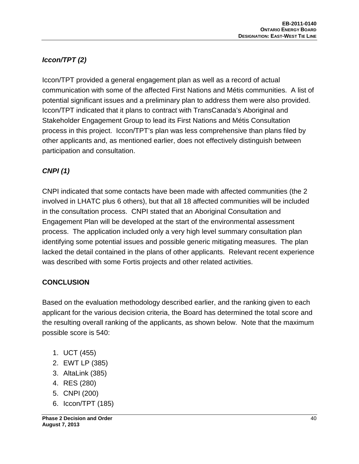# *Iccon/TPT (2)*

Iccon/TPT provided a general engagement plan as well as a record of actual communication with some of the affected First Nations and Métis communities. A list of potential significant issues and a preliminary plan to address them were also provided. Iccon/TPT indicated that it plans to contract with TransCanada's Aboriginal and Stakeholder Engagement Group to lead its First Nations and Métis Consultation process in this project. Iccon/TPT's plan was less comprehensive than plans filed by other applicants and, as mentioned earlier, does not effectively distinguish between participation and consultation.

## *CNPI (1)*

CNPI indicated that some contacts have been made with affected communities (the 2 involved in LHATC plus 6 others), but that all 18 affected communities will be included in the consultation process. CNPI stated that an Aboriginal Consultation and Engagement Plan will be developed at the start of the environmental assessment process. The application included only a very high level summary consultation plan identifying some potential issues and possible generic mitigating measures. The plan lacked the detail contained in the plans of other applicants. Relevant recent experience was described with some Fortis projects and other related activities.

### **CONCLUSION**

Based on the evaluation methodology described earlier, and the ranking given to each applicant for the various decision criteria, the Board has determined the total score and the resulting overall ranking of the applicants, as shown below. Note that the maximum possible score is 540:

- 1. UCT (455)
- 2. EWT LP (385)
- 3. AltaLink (385)
- 4. RES (280)
- 5. CNPI (200)
- 6. Iccon/TPT (185)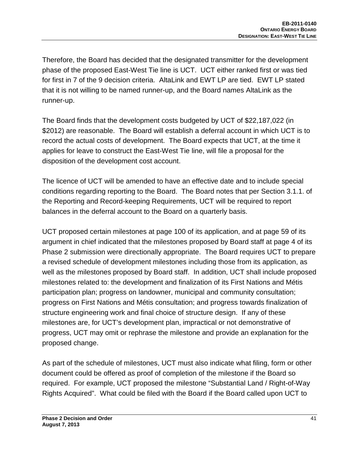Therefore, the Board has decided that the designated transmitter for the development phase of the proposed East-West Tie line is UCT. UCT either ranked first or was tied for first in 7 of the 9 decision criteria. AltaLink and EWT LP are tied. EWT LP stated that it is not willing to be named runner-up, and the Board names AltaLink as the runner-up.

The Board finds that the development costs budgeted by UCT of \$22,187,022 (in \$2012) are reasonable. The Board will establish a deferral account in which UCT is to record the actual costs of development. The Board expects that UCT, at the time it applies for leave to construct the East-West Tie line, will file a proposal for the disposition of the development cost account.

The licence of UCT will be amended to have an effective date and to include special conditions regarding reporting to the Board. The Board notes that per Section 3.1.1. of the Reporting and Record-keeping Requirements, UCT will be required to report balances in the deferral account to the Board on a quarterly basis.

UCT proposed certain milestones at page 100 of its application, and at page 59 of its argument in chief indicated that the milestones proposed by Board staff at page 4 of its Phase 2 submission were directionally appropriate. The Board requires UCT to prepare a revised schedule of development milestones including those from its application, as well as the milestones proposed by Board staff. In addition, UCT shall include proposed milestones related to: the development and finalization of its First Nations and Métis participation plan; progress on landowner, municipal and community consultation; progress on First Nations and Métis consultation; and progress towards finalization of structure engineering work and final choice of structure design. If any of these milestones are, for UCT's development plan, impractical or not demonstrative of progress, UCT may omit or rephrase the milestone and provide an explanation for the proposed change.

As part of the schedule of milestones, UCT must also indicate what filing, form or other document could be offered as proof of completion of the milestone if the Board so required. For example, UCT proposed the milestone "Substantial Land / Right-of-Way Rights Acquired". What could be filed with the Board if the Board called upon UCT to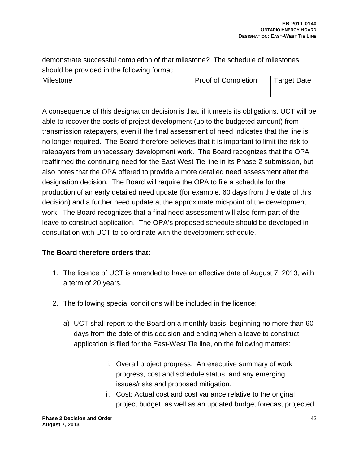demonstrate successful completion of that milestone? The schedule of milestones should be provided in the following format:

| Milestone | <b>Proof of Completion</b> | Target Date |
|-----------|----------------------------|-------------|
|           |                            |             |

A consequence of this designation decision is that, if it meets its obligations, UCT will be able to recover the costs of project development (up to the budgeted amount) from transmission ratepayers, even if the final assessment of need indicates that the line is no longer required. The Board therefore believes that it is important to limit the risk to ratepayers from unnecessary development work. The Board recognizes that the OPA reaffirmed the continuing need for the East-West Tie line in its Phase 2 submission, but also notes that the OPA offered to provide a more detailed need assessment after the designation decision. The Board will require the OPA to file a schedule for the production of an early detailed need update (for example, 60 days from the date of this decision) and a further need update at the approximate mid-point of the development work. The Board recognizes that a final need assessment will also form part of the leave to construct application. The OPA's proposed schedule should be developed in consultation with UCT to co-ordinate with the development schedule.

### **The Board therefore orders that:**

- 1. The licence of UCT is amended to have an effective date of August 7, 2013, with a term of 20 years.
- 2. The following special conditions will be included in the licence:
	- a) UCT shall report to the Board on a monthly basis, beginning no more than 60 days from the date of this decision and ending when a leave to construct application is filed for the East-West Tie line, on the following matters:
		- i. Overall project progress: An executive summary of work progress, cost and schedule status, and any emerging issues/risks and proposed mitigation.
		- ii. Cost: Actual cost and cost variance relative to the original project budget, as well as an updated budget forecast projected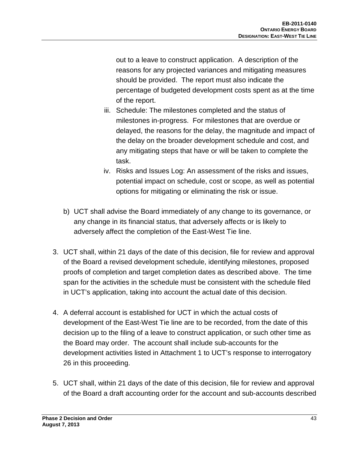out to a leave to construct application. A description of the reasons for any projected variances and mitigating measures should be provided. The report must also indicate the percentage of budgeted development costs spent as at the time of the report.

- iii. Schedule: The milestones completed and the status of milestones in-progress. For milestones that are overdue or delayed, the reasons for the delay, the magnitude and impact of the delay on the broader development schedule and cost, and any mitigating steps that have or will be taken to complete the task.
- iv. Risks and Issues Log: An assessment of the risks and issues, potential impact on schedule, cost or scope, as well as potential options for mitigating or eliminating the risk or issue.
- b) UCT shall advise the Board immediately of any change to its governance, or any change in its financial status, that adversely affects or is likely to adversely affect the completion of the East-West Tie line.
- 3. UCT shall, within 21 days of the date of this decision, file for review and approval of the Board a revised development schedule, identifying milestones, proposed proofs of completion and target completion dates as described above. The time span for the activities in the schedule must be consistent with the schedule filed in UCT's application, taking into account the actual date of this decision.
- 4. A deferral account is established for UCT in which the actual costs of development of the East-West Tie line are to be recorded, from the date of this decision up to the filing of a leave to construct application, or such other time as the Board may order. The account shall include sub-accounts for the development activities listed in Attachment 1 to UCT's response to interrogatory 26 in this proceeding.
- 5. UCT shall, within 21 days of the date of this decision, file for review and approval of the Board a draft accounting order for the account and sub-accounts described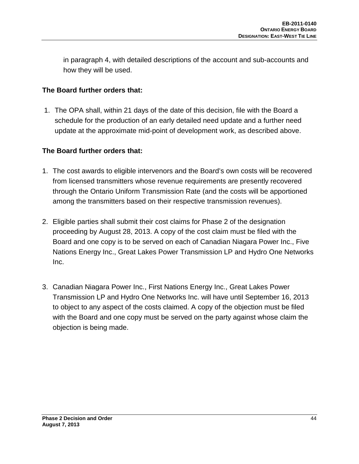in paragraph 4, with detailed descriptions of the account and sub-accounts and how they will be used.

### **The Board further orders that:**

1. The OPA shall, within 21 days of the date of this decision, file with the Board a schedule for the production of an early detailed need update and a further need update at the approximate mid-point of development work, as described above.

### **The Board further orders that:**

- 1. The cost awards to eligible intervenors and the Board's own costs will be recovered from licensed transmitters whose revenue requirements are presently recovered through the Ontario Uniform Transmission Rate (and the costs will be apportioned among the transmitters based on their respective transmission revenues).
- 2. Eligible parties shall submit their cost claims for Phase 2 of the designation proceeding by August 28, 2013. A copy of the cost claim must be filed with the Board and one copy is to be served on each of Canadian Niagara Power Inc., Five Nations Energy Inc., Great Lakes Power Transmission LP and Hydro One Networks Inc.
- 3. Canadian Niagara Power Inc., First Nations Energy Inc., Great Lakes Power Transmission LP and Hydro One Networks Inc. will have until September 16, 2013 to object to any aspect of the costs claimed. A copy of the objection must be filed with the Board and one copy must be served on the party against whose claim the objection is being made.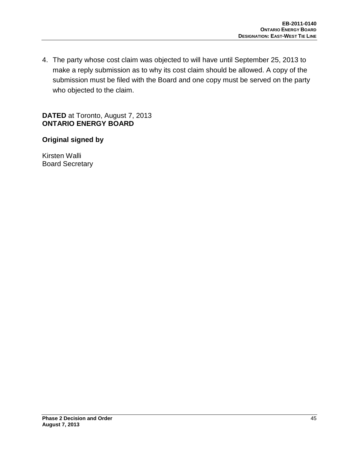4. The party whose cost claim was objected to will have until September 25, 2013 to make a reply submission as to why its cost claim should be allowed. A copy of the submission must be filed with the Board and one copy must be served on the party who objected to the claim.

**DATED** at Toronto, August 7, 2013 **ONTARIO ENERGY BOARD**

### **Original signed by**

Kirsten Walli Board Secretary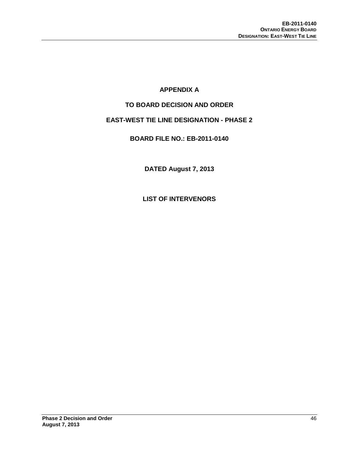### **APPENDIX A**

#### **TO BOARD DECISION AND ORDER**

### **EAST-WEST TIE LINE DESIGNATION - PHASE 2**

#### **BOARD FILE NO.: EB-2011-0140**

**DATED August 7, 2013**

**LIST OF INTERVENORS**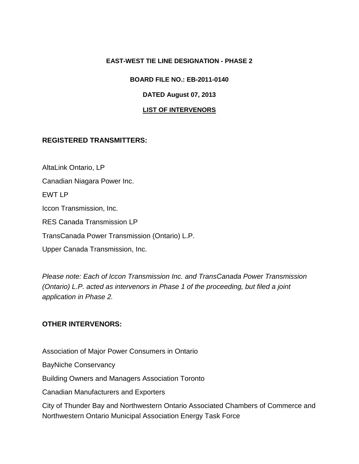#### **EAST-WEST TIE LINE DESIGNATION - PHASE 2**

#### **BOARD FILE NO.: EB-2011-0140**

#### **DATED August 07, 2013**

#### **LIST OF INTERVENORS**

#### **REGISTERED TRANSMITTERS:**

AltaLink Ontario, LP Canadian Niagara Power Inc. EWT LP Iccon Transmission, Inc. RES Canada Transmission LP TransCanada Power Transmission (Ontario) L.P. Upper Canada Transmission, Inc.

*Please note: Each of Iccon Transmission Inc. and TransCanada Power Transmission (Ontario) L.P. acted as intervenors in Phase 1 of the proceeding, but filed a joint application in Phase 2.*

### **OTHER INTERVENORS:**

Association of Major Power Consumers in Ontario

BayNiche Conservancy

Building Owners and Managers Association Toronto

Canadian Manufacturers and Exporters

City of Thunder Bay and Northwestern Ontario Associated Chambers of Commerce and Northwestern Ontario Municipal Association Energy Task Force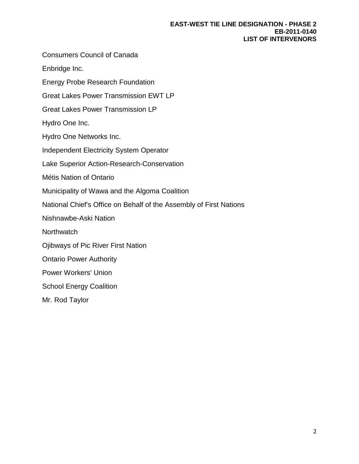#### **EAST-WEST TIE LINE DESIGNATION - PHASE 2 EB-2011-0140 LIST OF INTERVENORS**

Consumers Council of Canada Enbridge Inc. Energy Probe Research Foundation Great Lakes Power Transmission EWT LP Great Lakes Power Transmission LP Hydro One Inc. Hydro One Networks Inc. Independent Electricity System Operator Lake Superior Action-Research-Conservation Métis Nation of Ontario Municipality of Wawa and the Algoma Coalition National Chief's Office on Behalf of the Assembly of First Nations Nishnawbe-Aski Nation **Northwatch** Ojibways of Pic River First Nation Ontario Power Authority Power Workers' Union School Energy Coalition Mr. Rod Taylor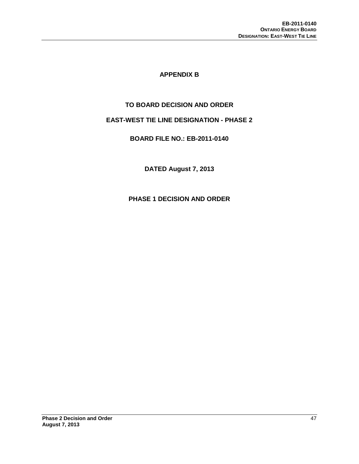#### **APPENDIX B**

#### **TO BOARD DECISION AND ORDER**

#### **EAST-WEST TIE LINE DESIGNATION - PHASE 2**

#### **BOARD FILE NO.: EB-2011-0140**

**DATED August 7, 2013**

**PHASE 1 DECISION AND ORDER**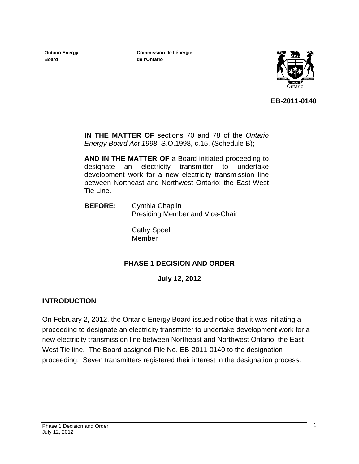**Ontario Energy Board** 

**Commission de l'énergie de l'Ontario**



**EB-2011-0140**

**IN THE MATTER OF** sections 70 and 78 of the *Ontario Energy Board Act 1998*, S.O.1998, c.15, (Schedule B);

**AND IN THE MATTER OF** a Board-initiated proceeding to designate an electricity transmitter to undertake development work for a new electricity transmission line between Northeast and Northwest Ontario: the East-West Tie Line.

 **BEFORE:** Cynthia Chaplin Presiding Member and Vice-Chair

> Cathy Spoel Member

### **PHASE 1 DECISION AND ORDER**

**July 12, 2012** 

### **INTRODUCTION**

On February 2, 2012, the Ontario Energy Board issued notice that it was initiating a proceeding to designate an electricity transmitter to undertake development work for a new electricity transmission line between Northeast and Northwest Ontario: the East-West Tie line. The Board assigned File No. EB-2011-0140 to the designation proceeding. Seven transmitters registered their interest in the designation process.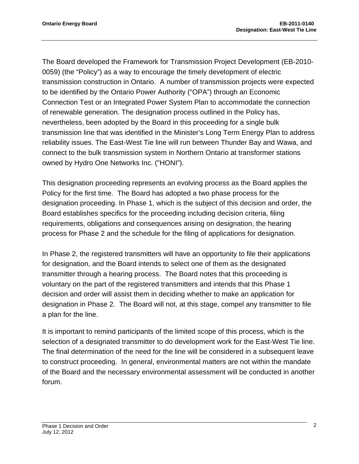The Board developed the Framework for Transmission Project Development (EB-2010- 0059) (the "Policy") as a way to encourage the timely development of electric transmission construction in Ontario. A number of transmission projects were expected to be identified by the Ontario Power Authority ("OPA") through an Economic Connection Test or an Integrated Power System Plan to accommodate the connection of renewable generation. The designation process outlined in the Policy has, nevertheless, been adopted by the Board in this proceeding for a single bulk transmission line that was identified in the Minister's Long Term Energy Plan to address reliability issues. The East-West Tie line will run between Thunder Bay and Wawa, and connect to the bulk transmission system in Northern Ontario at transformer stations owned by Hydro One Networks Inc. ("HONI").

This designation proceeding represents an evolving process as the Board applies the Policy for the first time. The Board has adopted a two phase process for the designation proceeding. In Phase 1, which is the subject of this decision and order, the Board establishes specifics for the proceeding including decision criteria, filing requirements, obligations and consequences arising on designation, the hearing process for Phase 2 and the schedule for the filing of applications for designation.

In Phase 2, the registered transmitters will have an opportunity to file their applications for designation, and the Board intends to select one of them as the designated transmitter through a hearing process. The Board notes that this proceeding is voluntary on the part of the registered transmitters and intends that this Phase 1 decision and order will assist them in deciding whether to make an application for designation in Phase 2. The Board will not, at this stage, compel any transmitter to file a plan for the line.

It is important to remind participants of the limited scope of this process, which is the selection of a designated transmitter to do development work for the East-West Tie line. The final determination of the need for the line will be considered in a subsequent leave to construct proceeding. In general, environmental matters are not within the mandate of the Board and the necessary environmental assessment will be conducted in another forum.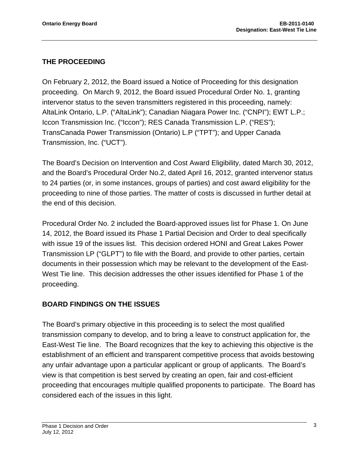### **THE PROCEEDING**

On February 2, 2012, the Board issued a Notice of Proceeding for this designation proceeding. On March 9, 2012, the Board issued Procedural Order No. 1, granting intervenor status to the seven transmitters registered in this proceeding, namely: AltaLink Ontario, L.P. ("AltaLink"); Canadian Niagara Power Inc. ("CNPI"); EWT L.P.; Iccon Transmission Inc. ("Iccon"); RES Canada Transmission L.P. ("RES"); TransCanada Power Transmission (Ontario) L.P ("TPT"); and Upper Canada Transmission, Inc. ("UCT").

The Board's Decision on Intervention and Cost Award Eligibility, dated March 30, 2012, and the Board's Procedural Order No.2, dated April 16, 2012, granted intervenor status to 24 parties (or, in some instances, groups of parties) and cost award eligibility for the proceeding to nine of those parties. The matter of costs is discussed in further detail at the end of this decision.

Procedural Order No. 2 included the Board-approved issues list for Phase 1. On June 14, 2012, the Board issued its Phase 1 Partial Decision and Order to deal specifically with issue 19 of the issues list. This decision ordered HONI and Great Lakes Power Transmission LP ("GLPT") to file with the Board, and provide to other parties, certain documents in their possession which may be relevant to the development of the East-West Tie line. This decision addresses the other issues identified for Phase 1 of the proceeding.

### **BOARD FINDINGS ON THE ISSUES**

The Board's primary objective in this proceeding is to select the most qualified transmission company to develop, and to bring a leave to construct application for, the East-West Tie line. The Board recognizes that the key to achieving this objective is the establishment of an efficient and transparent competitive process that avoids bestowing any unfair advantage upon a particular applicant or group of applicants. The Board's view is that competition is best served by creating an open, fair and cost-efficient proceeding that encourages multiple qualified proponents to participate. The Board has considered each of the issues in this light.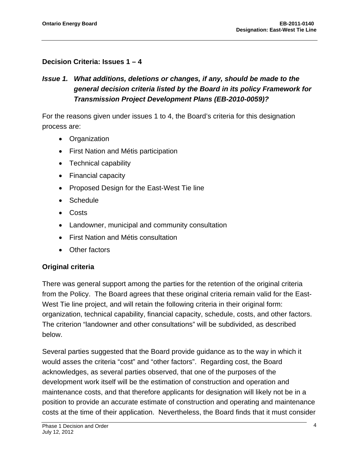### **Decision Criteria: Issues 1 – 4**

## *Issue 1. What additions, deletions or changes, if any, should be made to the general decision criteria listed by the Board in its policy Framework for Transmission Project Development Plans (EB-2010-0059)?*

For the reasons given under issues 1 to 4, the Board's criteria for this designation process are:

- Organization
- First Nation and Métis participation
- Technical capability
- Financial capacity
- Proposed Design for the East-West Tie line
- Schedule
- Costs
- Landowner, municipal and community consultation
- First Nation and Métis consultation
- Other factors

### **Original criteria**

There was general support among the parties for the retention of the original criteria from the Policy. The Board agrees that these original criteria remain valid for the East-West Tie line project, and will retain the following criteria in their original form: organization, technical capability, financial capacity, schedule, costs, and other factors. The criterion "landowner and other consultations" will be subdivided, as described below.

Several parties suggested that the Board provide guidance as to the way in which it would asses the criteria "cost" and "other factors". Regarding cost, the Board acknowledges, as several parties observed, that one of the purposes of the development work itself will be the estimation of construction and operation and maintenance costs, and that therefore applicants for designation will likely not be in a position to provide an accurate estimate of construction and operating and maintenance costs at the time of their application. Nevertheless, the Board finds that it must consider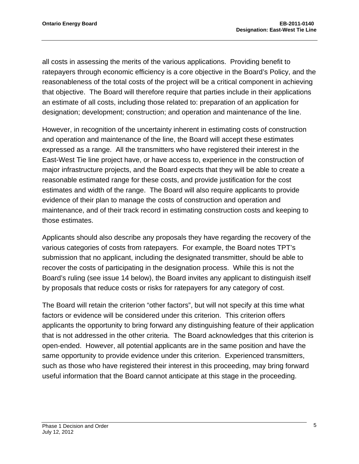all costs in assessing the merits of the various applications. Providing benefit to ratepayers through economic efficiency is a core objective in the Board's Policy, and the reasonableness of the total costs of the project will be a critical component in achieving that objective. The Board will therefore require that parties include in their applications an estimate of all costs, including those related to: preparation of an application for designation; development; construction; and operation and maintenance of the line.

However, in recognition of the uncertainty inherent in estimating costs of construction and operation and maintenance of the line, the Board will accept these estimates expressed as a range. All the transmitters who have registered their interest in the East-West Tie line project have, or have access to, experience in the construction of major infrastructure projects, and the Board expects that they will be able to create a reasonable estimated range for these costs, and provide justification for the cost estimates and width of the range. The Board will also require applicants to provide evidence of their plan to manage the costs of construction and operation and maintenance, and of their track record in estimating construction costs and keeping to those estimates.

Applicants should also describe any proposals they have regarding the recovery of the various categories of costs from ratepayers. For example, the Board notes TPT's submission that no applicant, including the designated transmitter, should be able to recover the costs of participating in the designation process. While this is not the Board's ruling (see issue 14 below), the Board invites any applicant to distinguish itself by proposals that reduce costs or risks for ratepayers for any category of cost.

The Board will retain the criterion "other factors", but will not specify at this time what factors or evidence will be considered under this criterion. This criterion offers applicants the opportunity to bring forward any distinguishing feature of their application that is not addressed in the other criteria. The Board acknowledges that this criterion is open-ended. However, all potential applicants are in the same position and have the same opportunity to provide evidence under this criterion. Experienced transmitters, such as those who have registered their interest in this proceeding, may bring forward useful information that the Board cannot anticipate at this stage in the proceeding.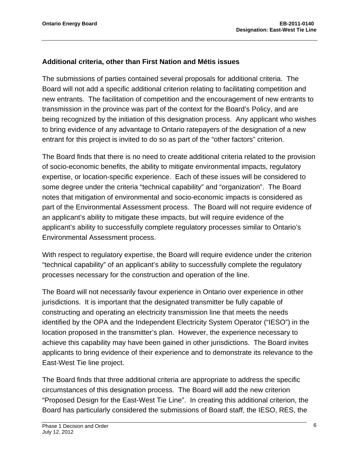#### **Additional criteria, other than First Nation and Métis issues**

The submissions of parties contained several proposals for additional criteria. The Board will not add a specific additional criterion relating to facilitating competition and new entrants. The facilitation of competition and the encouragement of new entrants to transmission in the province was part of the context for the Board's Policy, and are being recognized by the initiation of this designation process. Any applicant who wishes to bring evidence of any advantage to Ontario ratepayers of the designation of a new entrant for this project is invited to do so as part of the "other factors" criterion.

The Board finds that there is no need to create additional criteria related to the provision of socio-economic benefits, the ability to mitigate environmental impacts, regulatory expertise, or location-specific experience. Each of these issues will be considered to some degree under the criteria "technical capability" and "organization". The Board notes that mitigation of environmental and socio-economic impacts is considered as part of the Environmental Assessment process. The Board will not require evidence of an applicant's ability to mitigate these impacts, but will require evidence of the applicant's ability to successfully complete regulatory processes similar to Ontario's Environmental Assessment process.

With respect to regulatory expertise, the Board will require evidence under the criterion "technical capability" of an applicant's ability to successfully complete the regulatory processes necessary for the construction and operation of the line.

The Board will not necessarily favour experience in Ontario over experience in other jurisdictions. It is important that the designated transmitter be fully capable of constructing and operating an electricity transmission line that meets the needs identified by the OPA and the Independent Electricity System Operator ("IESO") in the location proposed in the transmitter's plan. However, the experience necessary to achieve this capability may have been gained in other jurisdictions. The Board invites applicants to bring evidence of their experience and to demonstrate its relevance to the East-West Tie line project.

The Board finds that three additional criteria are appropriate to address the specific circumstances of this designation process. The Board will add the new criterion "Proposed Design for the East-West Tie Line". In creating this additional criterion, the Board has particularly considered the submissions of Board staff, the IESO, RES, the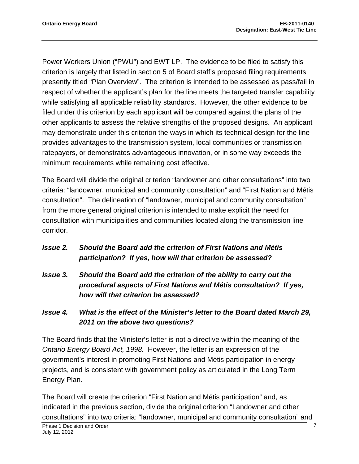Power Workers Union ("PWU") and EWT LP. The evidence to be filed to satisfy this criterion is largely that listed in section 5 of Board staff's proposed filing requirements presently titled "Plan Overview". The criterion is intended to be assessed as pass/fail in respect of whether the applicant's plan for the line meets the targeted transfer capability while satisfying all applicable reliability standards. However, the other evidence to be filed under this criterion by each applicant will be compared against the plans of the other applicants to assess the relative strengths of the proposed designs. An applicant may demonstrate under this criterion the ways in which its technical design for the line provides advantages to the transmission system, local communities or transmission ratepayers, or demonstrates advantageous innovation, or in some way exceeds the minimum requirements while remaining cost effective.

The Board will divide the original criterion "landowner and other consultations" into two criteria: "landowner, municipal and community consultation" and "First Nation and Métis consultation". The delineation of "landowner, municipal and community consultation" from the more general original criterion is intended to make explicit the need for consultation with municipalities and communities located along the transmission line corridor.

- *Issue 2. Should the Board add the criterion of First Nations and Métis participation? If yes, how will that criterion be assessed?*
- *Issue 3. Should the Board add the criterion of the ability to carry out the procedural aspects of First Nations and Métis consultation? If yes, how will that criterion be assessed?*

## *Issue 4. What is the effect of the Minister's letter to the Board dated March 29, 2011 on the above two questions?*

The Board finds that the Minister's letter is not a directive within the meaning of the *Ontario Energy Board Act, 1998.* However, the letter is an expression of the government's interest in promoting First Nations and Métis participation in energy projects, and is consistent with government policy as articulated in the Long Term Energy Plan.

The Board will create the criterion "First Nation and Métis participation" and, as indicated in the previous section, divide the original criterion "Landowner and other consultations" into two criteria: "landowner, municipal and community consultation" and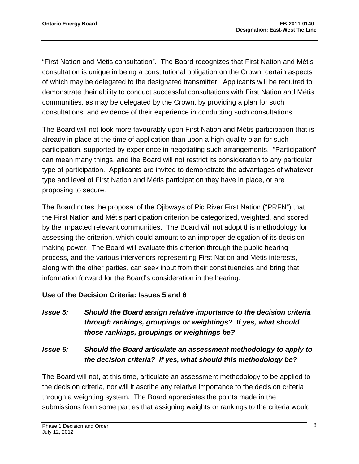"First Nation and Métis consultation". The Board recognizes that First Nation and Métis consultation is unique in being a constitutional obligation on the Crown, certain aspects of which may be delegated to the designated transmitter. Applicants will be required to demonstrate their ability to conduct successful consultations with First Nation and Métis communities, as may be delegated by the Crown, by providing a plan for such consultations, and evidence of their experience in conducting such consultations.

The Board will not look more favourably upon First Nation and Métis participation that is already in place at the time of application than upon a high quality plan for such participation, supported by experience in negotiating such arrangements. "Participation" can mean many things, and the Board will not restrict its consideration to any particular type of participation. Applicants are invited to demonstrate the advantages of whatever type and level of First Nation and Métis participation they have in place, or are proposing to secure.

The Board notes the proposal of the Ojibways of Pic River First Nation ("PRFN") that the First Nation and Métis participation criterion be categorized, weighted, and scored by the impacted relevant communities. The Board will not adopt this methodology for assessing the criterion, which could amount to an improper delegation of its decision making power. The Board will evaluate this criterion through the public hearing process, and the various intervenors representing First Nation and Métis interests, along with the other parties, can seek input from their constituencies and bring that information forward for the Board's consideration in the hearing.

#### **Use of the Decision Criteria: Issues 5 and 6**

*Issue 5: Should the Board assign relative importance to the decision criteria through rankings, groupings or weightings? If yes, what should those rankings, groupings or weightings be?* 

### *Issue 6: Should the Board articulate an assessment methodology to apply to the decision criteria? If yes, what should this methodology be?*

The Board will not, at this time, articulate an assessment methodology to be applied to the decision criteria, nor will it ascribe any relative importance to the decision criteria through a weighting system. The Board appreciates the points made in the submissions from some parties that assigning weights or rankings to the criteria would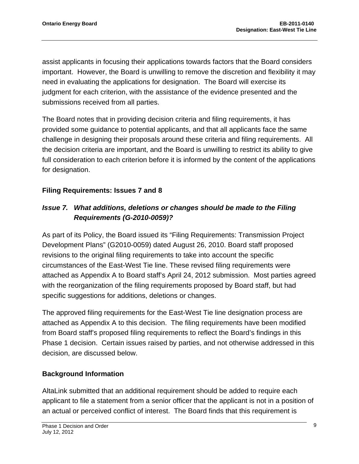assist applicants in focusing their applications towards factors that the Board considers important. However, the Board is unwilling to remove the discretion and flexibility it may need in evaluating the applications for designation. The Board will exercise its judgment for each criterion, with the assistance of the evidence presented and the submissions received from all parties.

The Board notes that in providing decision criteria and filing requirements, it has provided some guidance to potential applicants, and that all applicants face the same challenge in designing their proposals around these criteria and filing requirements. All the decision criteria are important, and the Board is unwilling to restrict its ability to give full consideration to each criterion before it is informed by the content of the applications for designation.

### **Filing Requirements: Issues 7 and 8**

## *Issue 7. What additions, deletions or changes should be made to the Filing Requirements (G-2010-0059)?*

As part of its Policy, the Board issued its "Filing Requirements: Transmission Project Development Plans" (G2010-0059) dated August 26, 2010. Board staff proposed revisions to the original filing requirements to take into account the specific circumstances of the East-West Tie line. These revised filing requirements were attached as Appendix A to Board staff's April 24, 2012 submission. Most parties agreed with the reorganization of the filing requirements proposed by Board staff, but had specific suggestions for additions, deletions or changes.

The approved filing requirements for the East-West Tie line designation process are attached as Appendix A to this decision. The filing requirements have been modified from Board staff's proposed filing requirements to reflect the Board's findings in this Phase 1 decision. Certain issues raised by parties, and not otherwise addressed in this decision, are discussed below.

### **Background Information**

AltaLink submitted that an additional requirement should be added to require each applicant to file a statement from a senior officer that the applicant is not in a position of an actual or perceived conflict of interest. The Board finds that this requirement is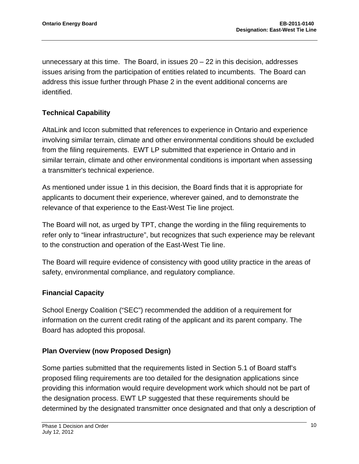unnecessary at this time. The Board, in issues  $20 - 22$  in this decision, addresses issues arising from the participation of entities related to incumbents. The Board can address this issue further through Phase 2 in the event additional concerns are identified.

### **Technical Capability**

AltaLink and Iccon submitted that references to experience in Ontario and experience involving similar terrain, climate and other environmental conditions should be excluded from the filing requirements. EWT LP submitted that experience in Ontario and in similar terrain, climate and other environmental conditions is important when assessing a transmitter's technical experience.

As mentioned under issue 1 in this decision, the Board finds that it is appropriate for applicants to document their experience, wherever gained, and to demonstrate the relevance of that experience to the East-West Tie line project.

The Board will not, as urged by TPT, change the wording in the filing requirements to refer only to "linear infrastructure", but recognizes that such experience may be relevant to the construction and operation of the East-West Tie line.

The Board will require evidence of consistency with good utility practice in the areas of safety, environmental compliance, and regulatory compliance.

### **Financial Capacity**

School Energy Coalition ("SEC") recommended the addition of a requirement for information on the current credit rating of the applicant and its parent company. The Board has adopted this proposal.

### **Plan Overview (now Proposed Design)**

Some parties submitted that the requirements listed in Section 5.1 of Board staff's proposed filing requirements are too detailed for the designation applications since providing this information would require development work which should not be part of the designation process. EWT LP suggested that these requirements should be determined by the designated transmitter once designated and that only a description of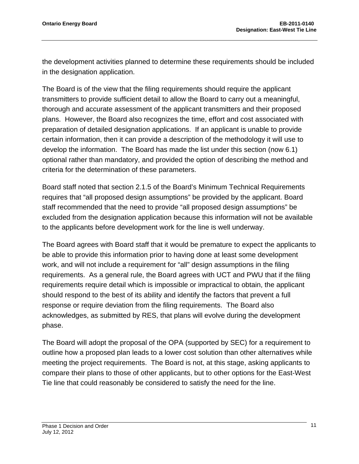the development activities planned to determine these requirements should be included in the designation application.

The Board is of the view that the filing requirements should require the applicant transmitters to provide sufficient detail to allow the Board to carry out a meaningful, thorough and accurate assessment of the applicant transmitters and their proposed plans. However, the Board also recognizes the time, effort and cost associated with preparation of detailed designation applications. If an applicant is unable to provide certain information, then it can provide a description of the methodology it will use to develop the information. The Board has made the list under this section (now 6.1) optional rather than mandatory, and provided the option of describing the method and criteria for the determination of these parameters.

Board staff noted that section 2.1.5 of the Board's Minimum Technical Requirements requires that "all proposed design assumptions" be provided by the applicant. Board staff recommended that the need to provide "all proposed design assumptions" be excluded from the designation application because this information will not be available to the applicants before development work for the line is well underway.

The Board agrees with Board staff that it would be premature to expect the applicants to be able to provide this information prior to having done at least some development work, and will not include a requirement for "all" design assumptions in the filing requirements. As a general rule, the Board agrees with UCT and PWU that if the filing requirements require detail which is impossible or impractical to obtain, the applicant should respond to the best of its ability and identify the factors that prevent a full response or require deviation from the filing requirements. The Board also acknowledges, as submitted by RES, that plans will evolve during the development phase.

The Board will adopt the proposal of the OPA (supported by SEC) for a requirement to outline how a proposed plan leads to a lower cost solution than other alternatives while meeting the project requirements. The Board is not, at this stage, asking applicants to compare their plans to those of other applicants, but to other options for the East-West Tie line that could reasonably be considered to satisfy the need for the line.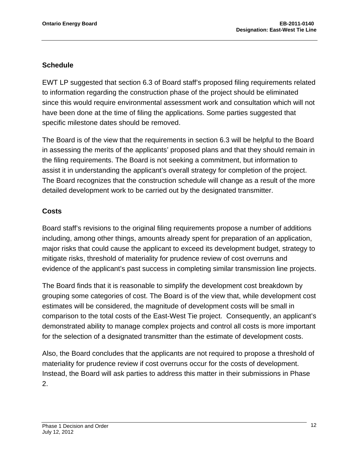#### **Schedule**

EWT LP suggested that section 6.3 of Board staff's proposed filing requirements related to information regarding the construction phase of the project should be eliminated since this would require environmental assessment work and consultation which will not have been done at the time of filing the applications. Some parties suggested that specific milestone dates should be removed.

The Board is of the view that the requirements in section 6.3 will be helpful to the Board in assessing the merits of the applicants' proposed plans and that they should remain in the filing requirements. The Board is not seeking a commitment, but information to assist it in understanding the applicant's overall strategy for completion of the project. The Board recognizes that the construction schedule will change as a result of the more detailed development work to be carried out by the designated transmitter.

#### **Costs**

Board staff's revisions to the original filing requirements propose a number of additions including, among other things, amounts already spent for preparation of an application, major risks that could cause the applicant to exceed its development budget, strategy to mitigate risks, threshold of materiality for prudence review of cost overruns and evidence of the applicant's past success in completing similar transmission line projects.

The Board finds that it is reasonable to simplify the development cost breakdown by grouping some categories of cost. The Board is of the view that, while development cost estimates will be considered, the magnitude of development costs will be small in comparison to the total costs of the East-West Tie project. Consequently, an applicant's demonstrated ability to manage complex projects and control all costs is more important for the selection of a designated transmitter than the estimate of development costs.

Also, the Board concludes that the applicants are not required to propose a threshold of materiality for prudence review if cost overruns occur for the costs of development. Instead, the Board will ask parties to address this matter in their submissions in Phase 2.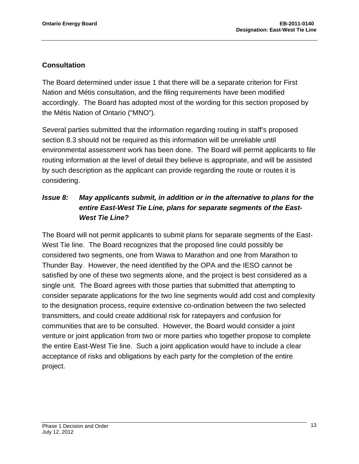### **Consultation**

The Board determined under issue 1 that there will be a separate criterion for First Nation and Métis consultation, and the filing requirements have been modified accordingly. The Board has adopted most of the wording for this section proposed by the Métis Nation of Ontario ("MNO").

Several parties submitted that the information regarding routing in staff's proposed section 8.3 should not be required as this information will be unreliable until environmental assessment work has been done. The Board will permit applicants to file routing information at the level of detail they believe is appropriate, and will be assisted by such description as the applicant can provide regarding the route or routes it is considering.

## *Issue 8: May applicants submit, in addition or in the alternative to plans for the entire East-West Tie Line, plans for separate segments of the East-West Tie Line?*

The Board will not permit applicants to submit plans for separate segments of the East-West Tie line. The Board recognizes that the proposed line could possibly be considered two segments, one from Wawa to Marathon and one from Marathon to Thunder Bay. However, the need identified by the OPA and the IESO cannot be satisfied by one of these two segments alone, and the project is best considered as a single unit. The Board agrees with those parties that submitted that attempting to consider separate applications for the two line segments would add cost and complexity to the designation process, require extensive co-ordination between the two selected transmitters, and could create additional risk for ratepayers and confusion for communities that are to be consulted. However, the Board would consider a joint venture or joint application from two or more parties who together propose to complete the entire East-West Tie line. Such a joint application would have to include a clear acceptance of risks and obligations by each party for the completion of the entire project.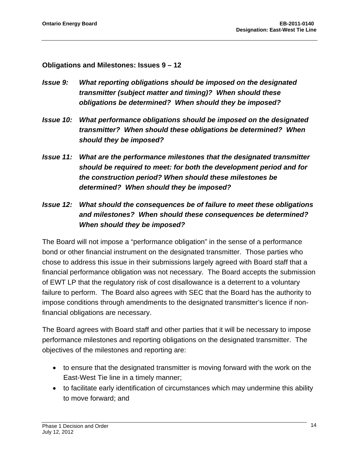**Obligations and Milestones: Issues 9 – 12** 

- *Issue 9: What reporting obligations should be imposed on the designated transmitter (subject matter and timing)? When should these obligations be determined? When should they be imposed?*
- *Issue 10: What performance obligations should be imposed on the designated transmitter? When should these obligations be determined? When should they be imposed?*
- *Issue 11: What are the performance milestones that the designated transmitter should be required to meet: for both the development period and for the construction period? When should these milestones be determined? When should they be imposed?*
- *Issue 12: What should the consequences be of failure to meet these obligations and milestones? When should these consequences be determined? When should they be imposed?*

The Board will not impose a "performance obligation" in the sense of a performance bond or other financial instrument on the designated transmitter. Those parties who chose to address this issue in their submissions largely agreed with Board staff that a financial performance obligation was not necessary. The Board accepts the submission of EWT LP that the regulatory risk of cost disallowance is a deterrent to a voluntary failure to perform. The Board also agrees with SEC that the Board has the authority to impose conditions through amendments to the designated transmitter's licence if nonfinancial obligations are necessary.

The Board agrees with Board staff and other parties that it will be necessary to impose performance milestones and reporting obligations on the designated transmitter. The objectives of the milestones and reporting are:

- to ensure that the designated transmitter is moving forward with the work on the East-West Tie line in a timely manner;
- to facilitate early identification of circumstances which may undermine this ability to move forward; and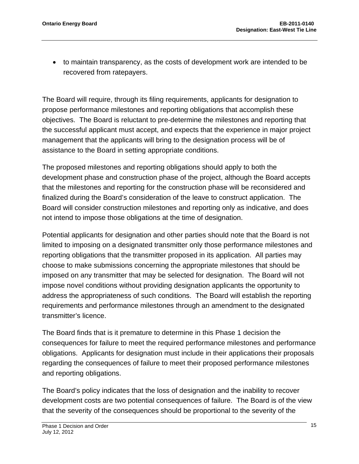to maintain transparency, as the costs of development work are intended to be recovered from ratepayers.

The Board will require, through its filing requirements, applicants for designation to propose performance milestones and reporting obligations that accomplish these objectives. The Board is reluctant to pre-determine the milestones and reporting that the successful applicant must accept, and expects that the experience in major project management that the applicants will bring to the designation process will be of assistance to the Board in setting appropriate conditions.

The proposed milestones and reporting obligations should apply to both the development phase and construction phase of the project, although the Board accepts that the milestones and reporting for the construction phase will be reconsidered and finalized during the Board's consideration of the leave to construct application. The Board will consider construction milestones and reporting only as indicative, and does not intend to impose those obligations at the time of designation.

Potential applicants for designation and other parties should note that the Board is not limited to imposing on a designated transmitter only those performance milestones and reporting obligations that the transmitter proposed in its application. All parties may choose to make submissions concerning the appropriate milestones that should be imposed on any transmitter that may be selected for designation. The Board will not impose novel conditions without providing designation applicants the opportunity to address the appropriateness of such conditions. The Board will establish the reporting requirements and performance milestones through an amendment to the designated transmitter's licence.

The Board finds that is it premature to determine in this Phase 1 decision the consequences for failure to meet the required performance milestones and performance obligations. Applicants for designation must include in their applications their proposals regarding the consequences of failure to meet their proposed performance milestones and reporting obligations.

The Board's policy indicates that the loss of designation and the inability to recover development costs are two potential consequences of failure. The Board is of the view that the severity of the consequences should be proportional to the severity of the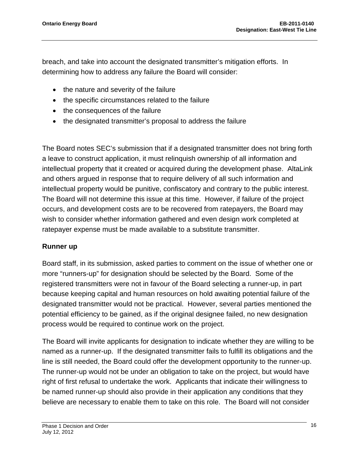breach, and take into account the designated transmitter's mitigation efforts. In determining how to address any failure the Board will consider:

- the nature and severity of the failure
- the specific circumstances related to the failure
- the consequences of the failure
- the designated transmitter's proposal to address the failure

The Board notes SEC's submission that if a designated transmitter does not bring forth a leave to construct application, it must relinquish ownership of all information and intellectual property that it created or acquired during the development phase. AltaLink and others argued in response that to require delivery of all such information and intellectual property would be punitive, confiscatory and contrary to the public interest. The Board will not determine this issue at this time. However, if failure of the project occurs, and development costs are to be recovered from ratepayers, the Board may wish to consider whether information gathered and even design work completed at ratepayer expense must be made available to a substitute transmitter.

#### **Runner up**

Board staff, in its submission, asked parties to comment on the issue of whether one or more "runners-up" for designation should be selected by the Board. Some of the registered transmitters were not in favour of the Board selecting a runner-up, in part because keeping capital and human resources on hold awaiting potential failure of the designated transmitter would not be practical. However, several parties mentioned the potential efficiency to be gained, as if the original designee failed, no new designation process would be required to continue work on the project.

The Board will invite applicants for designation to indicate whether they are willing to be named as a runner-up. If the designated transmitter fails to fulfill its obligations and the line is still needed, the Board could offer the development opportunity to the runner-up. The runner-up would not be under an obligation to take on the project, but would have right of first refusal to undertake the work. Applicants that indicate their willingness to be named runner-up should also provide in their application any conditions that they believe are necessary to enable them to take on this role. The Board will not consider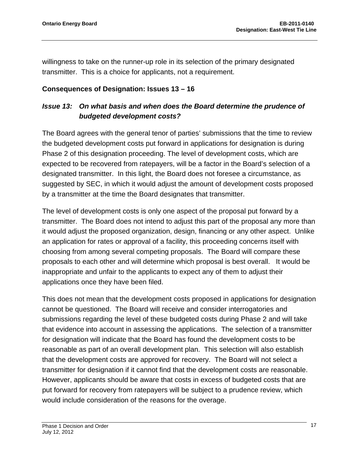willingness to take on the runner-up role in its selection of the primary designated transmitter. This is a choice for applicants, not a requirement.

#### **Consequences of Designation: Issues 13 – 16**

### *Issue 13: On what basis and when does the Board determine the prudence of budgeted development costs?*

The Board agrees with the general tenor of parties' submissions that the time to review the budgeted development costs put forward in applications for designation is during Phase 2 of this designation proceeding. The level of development costs, which are expected to be recovered from ratepayers, will be a factor in the Board's selection of a designated transmitter. In this light, the Board does not foresee a circumstance, as suggested by SEC, in which it would adjust the amount of development costs proposed by a transmitter at the time the Board designates that transmitter.

The level of development costs is only one aspect of the proposal put forward by a transmitter. The Board does not intend to adjust this part of the proposal any more than it would adjust the proposed organization, design, financing or any other aspect. Unlike an application for rates or approval of a facility, this proceeding concerns itself with choosing from among several competing proposals. The Board will compare these proposals to each other and will determine which proposal is best overall. It would be inappropriate and unfair to the applicants to expect any of them to adjust their applications once they have been filed.

This does not mean that the development costs proposed in applications for designation cannot be questioned. The Board will receive and consider interrogatories and submissions regarding the level of these budgeted costs during Phase 2 and will take that evidence into account in assessing the applications. The selection of a transmitter for designation will indicate that the Board has found the development costs to be reasonable as part of an overall development plan. This selection will also establish that the development costs are approved for recovery. The Board will not select a transmitter for designation if it cannot find that the development costs are reasonable. However, applicants should be aware that costs in excess of budgeted costs that are put forward for recovery from ratepayers will be subject to a prudence review, which would include consideration of the reasons for the overage.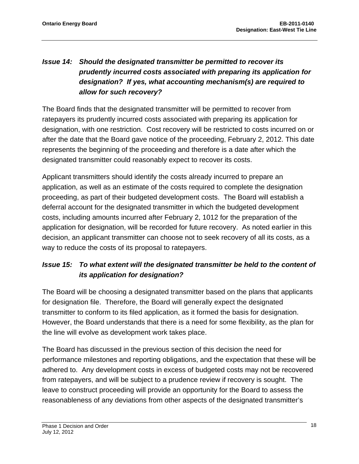# *Issue 14: Should the designated transmitter be permitted to recover its prudently incurred costs associated with preparing its application for designation? If yes, what accounting mechanism(s) are required to allow for such recovery?*

The Board finds that the designated transmitter will be permitted to recover from ratepayers its prudently incurred costs associated with preparing its application for designation, with one restriction. Cost recovery will be restricted to costs incurred on or after the date that the Board gave notice of the proceeding, February 2, 2012. This date represents the beginning of the proceeding and therefore is a date after which the designated transmitter could reasonably expect to recover its costs.

Applicant transmitters should identify the costs already incurred to prepare an application, as well as an estimate of the costs required to complete the designation proceeding, as part of their budgeted development costs. The Board will establish a deferral account for the designated transmitter in which the budgeted development costs, including amounts incurred after February 2, 1012 for the preparation of the application for designation, will be recorded for future recovery. As noted earlier in this decision, an applicant transmitter can choose not to seek recovery of all its costs, as a way to reduce the costs of its proposal to ratepayers.

## *Issue 15: To what extent will the designated transmitter be held to the content of its application for designation?*

The Board will be choosing a designated transmitter based on the plans that applicants for designation file. Therefore, the Board will generally expect the designated transmitter to conform to its filed application, as it formed the basis for designation. However, the Board understands that there is a need for some flexibility, as the plan for the line will evolve as development work takes place.

The Board has discussed in the previous section of this decision the need for performance milestones and reporting obligations, and the expectation that these will be adhered to. Any development costs in excess of budgeted costs may not be recovered from ratepayers, and will be subject to a prudence review if recovery is sought. The leave to construct proceeding will provide an opportunity for the Board to assess the reasonableness of any deviations from other aspects of the designated transmitter's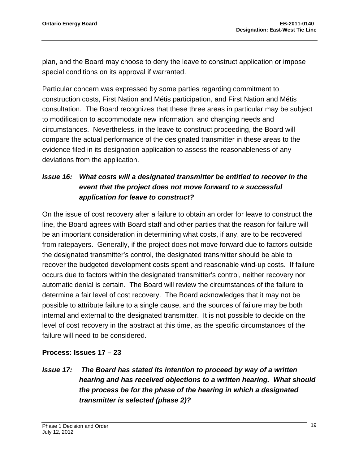plan, and the Board may choose to deny the leave to construct application or impose special conditions on its approval if warranted.

Particular concern was expressed by some parties regarding commitment to construction costs, First Nation and Métis participation, and First Nation and Métis consultation. The Board recognizes that these three areas in particular may be subject to modification to accommodate new information, and changing needs and circumstances. Nevertheless, in the leave to construct proceeding, the Board will compare the actual performance of the designated transmitter in these areas to the evidence filed in its designation application to assess the reasonableness of any deviations from the application.

## *Issue 16: What costs will a designated transmitter be entitled to recover in the event that the project does not move forward to a successful application for leave to construct?*

On the issue of cost recovery after a failure to obtain an order for leave to construct the line, the Board agrees with Board staff and other parties that the reason for failure will be an important consideration in determining what costs, if any, are to be recovered from ratepayers. Generally, if the project does not move forward due to factors outside the designated transmitter's control, the designated transmitter should be able to recover the budgeted development costs spent and reasonable wind-up costs. If failure occurs due to factors within the designated transmitter's control, neither recovery nor automatic denial is certain. The Board will review the circumstances of the failure to determine a fair level of cost recovery. The Board acknowledges that it may not be possible to attribute failure to a single cause, and the sources of failure may be both internal and external to the designated transmitter. It is not possible to decide on the level of cost recovery in the abstract at this time, as the specific circumstances of the failure will need to be considered.

### **Process: Issues 17 – 23**

## *Issue 17: The Board has stated its intention to proceed by way of a written hearing and has received objections to a written hearing. What should the process be for the phase of the hearing in which a designated transmitter is selected (phase 2)?*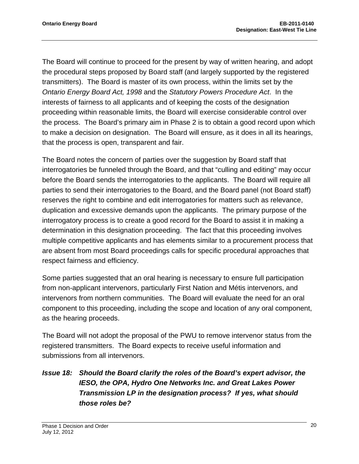The Board will continue to proceed for the present by way of written hearing, and adopt the procedural steps proposed by Board staff (and largely supported by the registered transmitters). The Board is master of its own process, within the limits set by the *Ontario Energy Board Act, 1998* and the *Statutory Powers Procedure Act*. In the interests of fairness to all applicants and of keeping the costs of the designation proceeding within reasonable limits, the Board will exercise considerable control over the process. The Board's primary aim in Phase 2 is to obtain a good record upon which to make a decision on designation. The Board will ensure, as it does in all its hearings, that the process is open, transparent and fair.

The Board notes the concern of parties over the suggestion by Board staff that interrogatories be funneled through the Board, and that "culling and editing" may occur before the Board sends the interrogatories to the applicants. The Board will require all parties to send their interrogatories to the Board, and the Board panel (not Board staff) reserves the right to combine and edit interrogatories for matters such as relevance, duplication and excessive demands upon the applicants. The primary purpose of the interrogatory process is to create a good record for the Board to assist it in making a determination in this designation proceeding. The fact that this proceeding involves multiple competitive applicants and has elements similar to a procurement process that are absent from most Board proceedings calls for specific procedural approaches that respect fairness and efficiency.

Some parties suggested that an oral hearing is necessary to ensure full participation from non-applicant intervenors, particularly First Nation and Métis intervenors, and intervenors from northern communities. The Board will evaluate the need for an oral component to this proceeding, including the scope and location of any oral component, as the hearing proceeds.

The Board will not adopt the proposal of the PWU to remove intervenor status from the registered transmitters. The Board expects to receive useful information and submissions from all intervenors.

# *Issue 18: Should the Board clarify the roles of the Board's expert advisor, the IESO, the OPA, Hydro One Networks Inc. and Great Lakes Power Transmission LP in the designation process? If yes, what should those roles be?*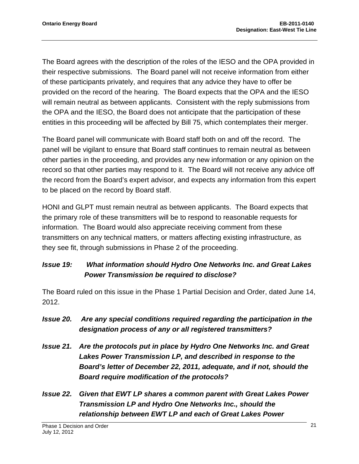The Board agrees with the description of the roles of the IESO and the OPA provided in their respective submissions. The Board panel will not receive information from either of these participants privately, and requires that any advice they have to offer be provided on the record of the hearing. The Board expects that the OPA and the IESO will remain neutral as between applicants. Consistent with the reply submissions from the OPA and the IESO, the Board does not anticipate that the participation of these entities in this proceeding will be affected by Bill 75, which contemplates their merger.

The Board panel will communicate with Board staff both on and off the record. The panel will be vigilant to ensure that Board staff continues to remain neutral as between other parties in the proceeding, and provides any new information or any opinion on the record so that other parties may respond to it. The Board will not receive any advice off the record from the Board's expert advisor, and expects any information from this expert to be placed on the record by Board staff.

HONI and GLPT must remain neutral as between applicants. The Board expects that the primary role of these transmitters will be to respond to reasonable requests for information. The Board would also appreciate receiving comment from these transmitters on any technical matters, or matters affecting existing infrastructure, as they see fit, through submissions in Phase 2 of the proceeding.

## *Issue 19: What information should Hydro One Networks Inc. and Great Lakes Power Transmission be required to disclose?*

The Board ruled on this issue in the Phase 1 Partial Decision and Order, dated June 14, 2012.

- *Issue 20. Are any special conditions required regarding the participation in the designation process of any or all registered transmitters?*
- *Issue 21. Are the protocols put in place by Hydro One Networks Inc. and Great Lakes Power Transmission LP, and described in response to the Board's letter of December 22, 2011, adequate, and if not, should the Board require modification of the protocols?*
- *Issue 22. Given that EWT LP shares a common parent with Great Lakes Power Transmission LP and Hydro One Networks Inc., should the relationship between EWT LP and each of Great Lakes Power*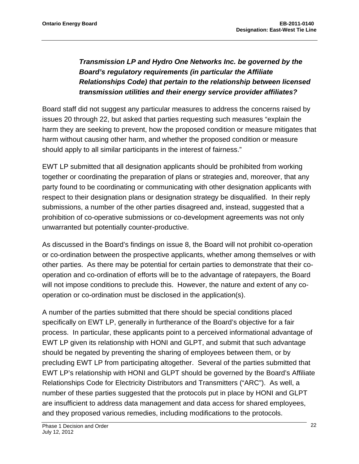# *Transmission LP and Hydro One Networks Inc. be governed by the Board's regulatory requirements (in particular the Affiliate Relationships Code) that pertain to the relationship between licensed transmission utilities and their energy service provider affiliates?*

Board staff did not suggest any particular measures to address the concerns raised by issues 20 through 22, but asked that parties requesting such measures "explain the harm they are seeking to prevent, how the proposed condition or measure mitigates that harm without causing other harm, and whether the proposed condition or measure should apply to all similar participants in the interest of fairness."

EWT LP submitted that all designation applicants should be prohibited from working together or coordinating the preparation of plans or strategies and, moreover, that any party found to be coordinating or communicating with other designation applicants with respect to their designation plans or designation strategy be disqualified. In their reply submissions, a number of the other parties disagreed and, instead, suggested that a prohibition of co-operative submissions or co-development agreements was not only unwarranted but potentially counter-productive.

As discussed in the Board's findings on issue 8, the Board will not prohibit co-operation or co-ordination between the prospective applicants, whether among themselves or with other parties. As there may be potential for certain parties to demonstrate that their cooperation and co-ordination of efforts will be to the advantage of ratepayers, the Board will not impose conditions to preclude this. However, the nature and extent of any cooperation or co-ordination must be disclosed in the application(s).

A number of the parties submitted that there should be special conditions placed specifically on EWT LP, generally in furtherance of the Board's objective for a fair process. In particular, these applicants point to a perceived informational advantage of EWT LP given its relationship with HONI and GLPT, and submit that such advantage should be negated by preventing the sharing of employees between them, or by precluding EWT LP from participating altogether. Several of the parties submitted that EWT LP's relationship with HONI and GLPT should be governed by the Board's Affiliate Relationships Code for Electricity Distributors and Transmitters ("ARC"). As well, a number of these parties suggested that the protocols put in place by HONI and GLPT are insufficient to address data management and data access for shared employees, and they proposed various remedies, including modifications to the protocols.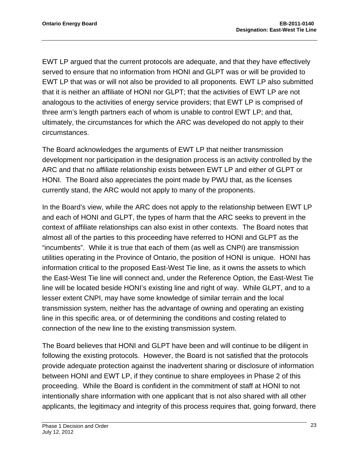EWT LP argued that the current protocols are adequate, and that they have effectively served to ensure that no information from HONI and GLPT was or will be provided to EWT LP that was or will not also be provided to all proponents. EWT LP also submitted that it is neither an affiliate of HONI nor GLPT; that the activities of EWT LP are not analogous to the activities of energy service providers; that EWT LP is comprised of three arm's length partners each of whom is unable to control EWT LP; and that, ultimately, the circumstances for which the ARC was developed do not apply to their circumstances.

The Board acknowledges the arguments of EWT LP that neither transmission development nor participation in the designation process is an activity controlled by the ARC and that no affiliate relationship exists between EWT LP and either of GLPT or HONI. The Board also appreciates the point made by PWU that, as the licenses currently stand, the ARC would not apply to many of the proponents.

In the Board's view, while the ARC does not apply to the relationship between EWT LP and each of HONI and GLPT, the types of harm that the ARC seeks to prevent in the context of affiliate relationships can also exist in other contexts. The Board notes that almost all of the parties to this proceeding have referred to HONI and GLPT as the "incumbents". While it is true that each of them (as well as CNPI) are transmission utilities operating in the Province of Ontario, the position of HONI is unique. HONI has information critical to the proposed East-West Tie line, as it owns the assets to which the East-West Tie line will connect and, under the Reference Option, the East-West Tie line will be located beside HONI's existing line and right of way. While GLPT, and to a lesser extent CNPI, may have some knowledge of similar terrain and the local transmission system, neither has the advantage of owning and operating an existing line in this specific area, or of determining the conditions and costing related to connection of the new line to the existing transmission system.

The Board believes that HONI and GLPT have been and will continue to be diligent in following the existing protocols. However, the Board is not satisfied that the protocols provide adequate protection against the inadvertent sharing or disclosure of information between HONI and EWT LP, if they continue to share employees in Phase 2 of this proceeding. While the Board is confident in the commitment of staff at HONI to not intentionally share information with one applicant that is not also shared with all other applicants, the legitimacy and integrity of this process requires that, going forward, there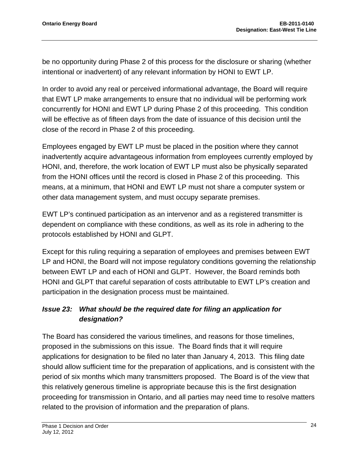be no opportunity during Phase 2 of this process for the disclosure or sharing (whether intentional or inadvertent) of any relevant information by HONI to EWT LP.

In order to avoid any real or perceived informational advantage, the Board will require that EWT LP make arrangements to ensure that no individual will be performing work concurrently for HONI and EWT LP during Phase 2 of this proceeding. This condition will be effective as of fifteen days from the date of issuance of this decision until the close of the record in Phase 2 of this proceeding.

Employees engaged by EWT LP must be placed in the position where they cannot inadvertently acquire advantageous information from employees currently employed by HONI, and, therefore, the work location of EWT LP must also be physically separated from the HONI offices until the record is closed in Phase 2 of this proceeding. This means, at a minimum, that HONI and EWT LP must not share a computer system or other data management system, and must occupy separate premises.

EWT LP's continued participation as an intervenor and as a registered transmitter is dependent on compliance with these conditions, as well as its role in adhering to the protocols established by HONI and GLPT.

Except for this ruling requiring a separation of employees and premises between EWT LP and HONI, the Board will not impose regulatory conditions governing the relationship between EWT LP and each of HONI and GLPT. However, the Board reminds both HONI and GLPT that careful separation of costs attributable to EWT LP's creation and participation in the designation process must be maintained.

# *Issue 23: What should be the required date for filing an application for designation?*

The Board has considered the various timelines, and reasons for those timelines, proposed in the submissions on this issue. The Board finds that it will require applications for designation to be filed no later than January 4, 2013. This filing date should allow sufficient time for the preparation of applications, and is consistent with the period of six months which many transmitters proposed. The Board is of the view that this relatively generous timeline is appropriate because this is the first designation proceeding for transmission in Ontario, and all parties may need time to resolve matters related to the provision of information and the preparation of plans.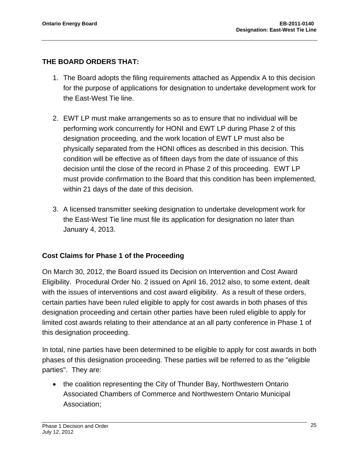## **THE BOARD ORDERS THAT:**

- 1. The Board adopts the filing requirements attached as Appendix A to this decision for the purpose of applications for designation to undertake development work for the East-West Tie line.
- 2. EWT LP must make arrangements so as to ensure that no individual will be performing work concurrently for HONI and EWT LP during Phase 2 of this designation proceeding, and the work location of EWT LP must also be physically separated from the HONI offices as described in this decision. This condition will be effective as of fifteen days from the date of issuance of this decision until the close of the record in Phase 2 of this proceeding. EWT LP must provide confirmation to the Board that this condition has been implemented, within 21 days of the date of this decision.
- 3. A licensed transmitter seeking designation to undertake development work for the East-West Tie line must file its application for designation no later than January 4, 2013.

### **Cost Claims for Phase 1 of the Proceeding**

On March 30, 2012, the Board issued its Decision on Intervention and Cost Award Eligibility. Procedural Order No. 2 issued on April 16, 2012 also, to some extent, dealt with the issues of interventions and cost award eligibility. As a result of these orders, certain parties have been ruled eligible to apply for cost awards in both phases of this designation proceeding and certain other parties have been ruled eligible to apply for limited cost awards relating to their attendance at an all party conference in Phase 1 of this designation proceeding.

In total, nine parties have been determined to be eligible to apply for cost awards in both phases of this designation proceeding. These parties will be referred to as the "eligible parties". They are:

• the coalition representing the City of Thunder Bay, Northwestern Ontario Associated Chambers of Commerce and Northwestern Ontario Municipal Association;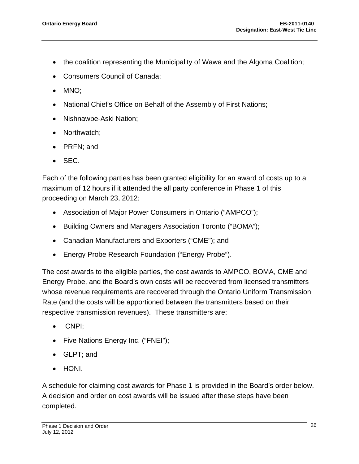- the coalition representing the Municipality of Wawa and the Algoma Coalition;
- Consumers Council of Canada;
- MNO;
- National Chief's Office on Behalf of the Assembly of First Nations;
- Nishnawbe-Aski Nation;
- Northwatch;
- PRFN; and
- $\bullet$  SEC.

Each of the following parties has been granted eligibility for an award of costs up to a maximum of 12 hours if it attended the all party conference in Phase 1 of this proceeding on March 23, 2012:

- Association of Major Power Consumers in Ontario ("AMPCO");
- Building Owners and Managers Association Toronto ("BOMA");
- Canadian Manufacturers and Exporters ("CME"); and
- Energy Probe Research Foundation ("Energy Probe").

The cost awards to the eligible parties, the cost awards to AMPCO, BOMA, CME and Energy Probe, and the Board's own costs will be recovered from licensed transmitters whose revenue requirements are recovered through the Ontario Uniform Transmission Rate (and the costs will be apportioned between the transmitters based on their respective transmission revenues). These transmitters are:

- CNPI:
- Five Nations Energy Inc. ("FNEI");
- GLPT; and
- HONI.

A schedule for claiming cost awards for Phase 1 is provided in the Board's order below. A decision and order on cost awards will be issued after these steps have been completed.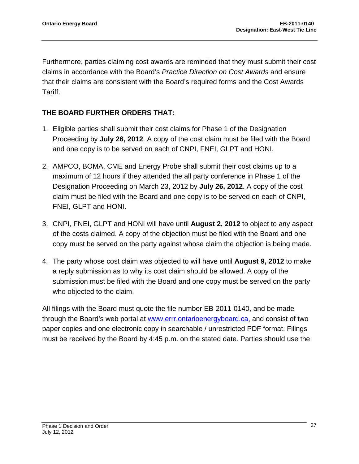Furthermore, parties claiming cost awards are reminded that they must submit their cost claims in accordance with the Board's *Practice Direction on Cost Awards* and ensure that their claims are consistent with the Board's required forms and the Cost Awards Tariff.

# **THE BOARD FURTHER ORDERS THAT:**

- 1. Eligible parties shall submit their cost claims for Phase 1 of the Designation Proceeding by **July 26, 2012**. A copy of the cost claim must be filed with the Board and one copy is to be served on each of CNPI, FNEI, GLPT and HONI.
- 2. AMPCO, BOMA, CME and Energy Probe shall submit their cost claims up to a maximum of 12 hours if they attended the all party conference in Phase 1 of the Designation Proceeding on March 23, 2012 by **July 26, 2012**. A copy of the cost claim must be filed with the Board and one copy is to be served on each of CNPI, FNEI, GLPT and HONI.
- 3. CNPI, FNEI, GLPT and HONI will have until **August 2, 2012** to object to any aspect of the costs claimed. A copy of the objection must be filed with the Board and one copy must be served on the party against whose claim the objection is being made.
- 4. The party whose cost claim was objected to will have until **August 9, 2012** to make a reply submission as to why its cost claim should be allowed. A copy of the submission must be filed with the Board and one copy must be served on the party who objected to the claim.

All filings with the Board must quote the file number EB-2011-0140, and be made through the Board's web portal at [www.errr.ontarioenergyboard.ca,](www.errr.ontarioenergyboard.ca) and consist of two paper copies and one electronic copy in searchable / unrestricted PDF format. Filings must be received by the Board by 4:45 p.m. on the stated date. Parties should use the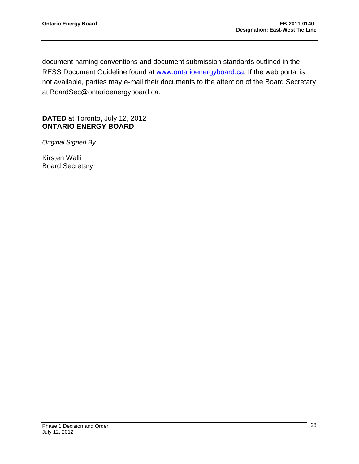document naming conventions and document submission standards outlined in the RESS Document Guideline found at <www.ontarioenergyboard.ca>. If the web portal is not available, parties may e-mail their documents to the attention of the Board Secretary at BoardSec@ontarioenergyboard.ca.

### **DATED** at Toronto, July 12, 2012 **ONTARIO ENERGY BOARD**

*Original Signed By* 

Kirsten Walli Board Secretary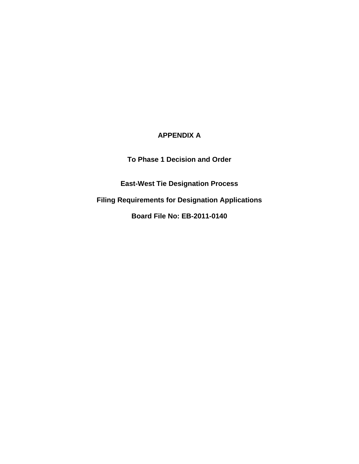# **APPENDIX A**

**To Phase 1 Decision and Order** 

**East-West Tie Designation Process** 

**Filing Requirements for Designation Applications** 

**Board File No: EB-2011-0140**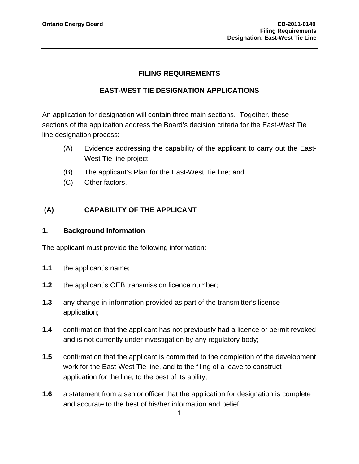#### **FILING REQUIREMENTS**

#### **EAST-WEST TIE DESIGNATION APPLICATIONS**

An application for designation will contain three main sections. Together, these sections of the application address the Board's decision criteria for the East-West Tie line designation process:

- (A) Evidence addressing the capability of the applicant to carry out the East-West Tie line project;
- (B) The applicant's Plan for the East-West Tie line; and
- (C) Other factors.

## **(A) CAPABILITY OF THE APPLICANT**

#### **1. Background Information**

The applicant must provide the following information:

- **1.1** the applicant's name;
- **1.2** the applicant's OEB transmission licence number;
- **1.3** any change in information provided as part of the transmitter's licence application;
- **1.4** confirmation that the applicant has not previously had a licence or permit revoked and is not currently under investigation by any regulatory body;
- **1.5** confirmation that the applicant is committed to the completion of the development work for the East-West Tie line, and to the filing of a leave to construct application for the line, to the best of its ability;
- **1.6** a statement from a senior officer that the application for designation is complete and accurate to the best of his/her information and belief;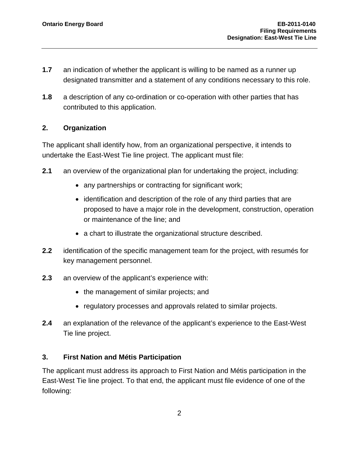- **1.7** an indication of whether the applicant is willing to be named as a runner up designated transmitter and a statement of any conditions necessary to this role.
- **1.8** a description of any co-ordination or co-operation with other parties that has contributed to this application.

### **2. Organization**

The applicant shall identify how, from an organizational perspective, it intends to undertake the East-West Tie line project. The applicant must file:

- **2.1** an overview of the organizational plan for undertaking the project, including:
	- any partnerships or contracting for significant work;
	- identification and description of the role of any third parties that are proposed to have a major role in the development, construction, operation or maintenance of the line; and
	- a chart to illustrate the organizational structure described.
- **2.2** identification of the specific management team for the project, with resumés for key management personnel.
- **2.3** an overview of the applicant's experience with:
	- the management of similar projects; and
	- regulatory processes and approvals related to similar projects.
- **2.4** an explanation of the relevance of the applicant's experience to the East-West Tie line project.

### **3. First Nation and Métis Participation**

The applicant must address its approach to First Nation and Métis participation in the East-West Tie line project. To that end, the applicant must file evidence of one of the following: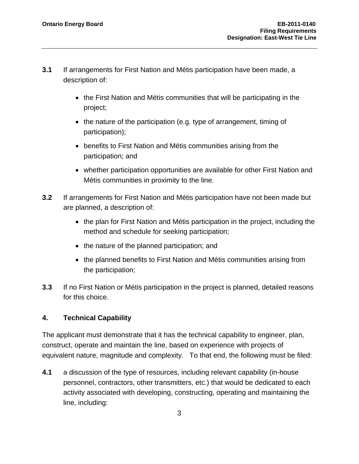- **3.1** If arrangements for First Nation and Métis participation have been made, a description of:
	- the First Nation and Métis communities that will be participating in the project;
	- the nature of the participation (e.g. type of arrangement, timing of participation);
	- benefits to First Nation and Métis communities arising from the participation; and
	- whether participation opportunities are available for other First Nation and Métis communities in proximity to the line.
- **3.2** If arrangements for First Nation and Métis participation have not been made but are planned, a description of:
	- the plan for First Nation and Métis participation in the project, including the method and schedule for seeking participation;
	- the nature of the planned participation; and
	- the planned benefits to First Nation and Métis communities arising from the participation;
- **3.3** If no First Nation or Métis participation in the project is planned, detailed reasons for this choice.

# **4. Technical Capability**

The applicant must demonstrate that it has the technical capability to engineer, plan, construct, operate and maintain the line, based on experience with projects of equivalent nature, magnitude and complexity. To that end, the following must be filed:

**4.1** a discussion of the type of resources, including relevant capability (in-house personnel, contractors, other transmitters, etc.) that would be dedicated to each activity associated with developing, constructing, operating and maintaining the line, including: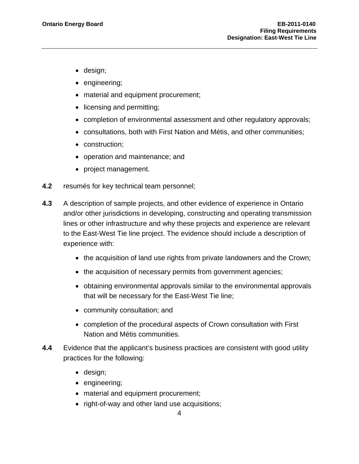- design;
- engineering;
- material and equipment procurement;
- licensing and permitting;
- completion of environmental assessment and other regulatory approvals;
- consultations, both with First Nation and Métis, and other communities;
- construction;
- operation and maintenance; and
- project management.
- **4.2** resumés for key technical team personnel;
- **4.3** A description of sample projects, and other evidence of experience in Ontario and/or other jurisdictions in developing, constructing and operating transmission lines or other infrastructure and why these projects and experience are relevant to the East-West Tie line project. The evidence should include a description of experience with:
	- the acquisition of land use rights from private landowners and the Crown;
	- the acquisition of necessary permits from government agencies;
	- obtaining environmental approvals similar to the environmental approvals that will be necessary for the East-West Tie line;
	- community consultation; and
	- completion of the procedural aspects of Crown consultation with First Nation and Métis communities.
- **4.4** Evidence that the applicant's business practices are consistent with good utility practices for the following:
	- design;
	- engineering;
	- material and equipment procurement;
	- right-of-way and other land use acquisitions;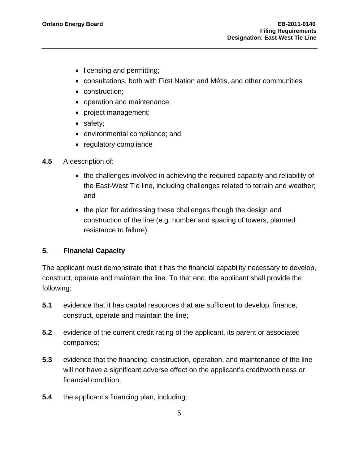- licensing and permitting;
- consultations, both with First Nation and Métis, and other communities
- construction;
- operation and maintenance;
- project management;
- safety;
- environmental compliance; and
- regulatory compliance
- **4.5** A description of:
	- the challenges involved in achieving the required capacity and reliability of the East-West Tie line, including challenges related to terrain and weather; and
	- the plan for addressing these challenges though the design and construction of the line (e.g. number and spacing of towers, planned resistance to failure).

### **5. Financial Capacity**

The applicant must demonstrate that it has the financial capability necessary to develop, construct, operate and maintain the line. To that end, the applicant shall provide the following:

- **5.1** evidence that it has capital resources that are sufficient to develop, finance, construct, operate and maintain the line;
- **5.2** evidence of the current credit rating of the applicant, its parent or associated companies;
- **5.3** evidence that the financing, construction, operation, and maintenance of the line will not have a significant adverse effect on the applicant's creditworthiness or financial condition;
- **5.4** the applicant's financing plan, including: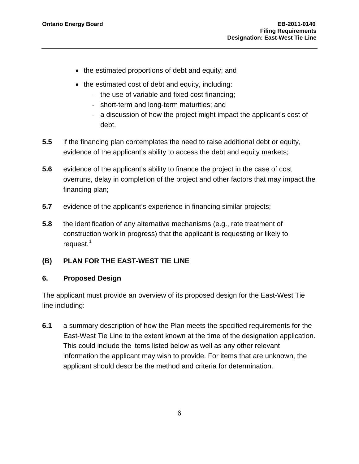- the estimated proportions of debt and equity; and
- the estimated cost of debt and equity, including:
	- the use of variable and fixed cost financing;
	- short-term and long-term maturities; and
	- a discussion of how the project might impact the applicant's cost of debt.
- **5.5** if the financing plan contemplates the need to raise additional debt or equity, evidence of the applicant's ability to access the debt and equity markets;
- **5.6** evidence of the applicant's ability to finance the project in the case of cost overruns, delay in completion of the project and other factors that may impact the financing plan;
- **5.7** evidence of the applicant's experience in financing similar projects;
- **5.8** the identification of any alternative mechanisms (e.g., rate treatment of construction work in progress) that the applicant is requesting or likely to request.<sup>[1](#page-83-0)</sup>

### **(B) PLAN FOR THE EAST-WEST TIE LINE**

### **6. Proposed Design**

The applicant must provide an overview of its proposed design for the East-West Tie line including:

<span id="page-83-0"></span>**6.1** a summary description of how the Plan meets the specified requirements for the East-West Tie Line to the extent known at the time of the designation application. This could include the items listed below as well as any other relevant information the applicant may wish to provide. For items that are unknown, the applicant should describe the method and criteria for determination.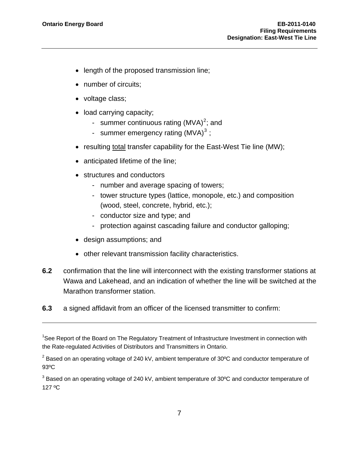-

- length of the proposed transmission line;
- number of circuits:
- voltage class;
- load carrying capacity;
	- summer continuous rating  $(MVA)^2$  $(MVA)^2$ ; and
	- summer emergency rating (MVA) $3$ ;
- resulting total transfer capability for the East-West Tie line (MW);
- anticipated lifetime of the line;
- structures and conductors
	- number and average spacing of towers;
	- tower structure types (lattice, monopole, etc.) and composition (wood, steel, concrete, hybrid, etc.);
	- conductor size and type; and
	- protection against cascading failure and conductor galloping;
- design assumptions; and
- other relevant transmission facility characteristics.
- **6.2** confirmation that the line will interconnect with the existing transformer stations at Wawa and Lakehead, and an indication of whether the line will be switched at the Marathon transformer station.
- **6.3** a signed affidavit from an officer of the licensed transmitter to confirm:

<sup>&</sup>lt;sup>1</sup>See Report of the Board on The Regulatory Treatment of Infrastructure Investment in connection with the Rate-regulated Activities of Distributors and Transmitters in Ontario.

<span id="page-84-0"></span> $^{2}$  Based on an operating voltage of 240 kV, ambient temperature of 30°C and conductor temperature of 93ºC

<span id="page-84-1"></span> $^3$  Based on an operating voltage of 240 kV, ambient temperature of 30°C and conductor temperature of 127 ºC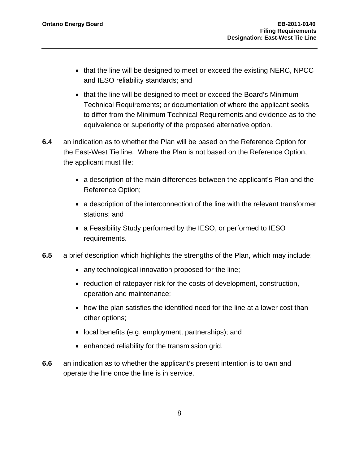- that the line will be designed to meet or exceed the existing NERC, NPCC and IESO reliability standards; and
- that the line will be designed to meet or exceed the Board's Minimum Technical Requirements; or documentation of where the applicant seeks to differ from the Minimum Technical Requirements and evidence as to the equivalence or superiority of the proposed alternative option.
- **6.4** an indication as to whether the Plan will be based on the Reference Option for the East-West Tie line. Where the Plan is not based on the Reference Option, the applicant must file:
	- a description of the main differences between the applicant's Plan and the Reference Option;
	- a description of the interconnection of the line with the relevant transformer stations; and
	- a Feasibility Study performed by the IESO, or performed to IESO requirements.
- **6.5** a brief description which highlights the strengths of the Plan, which may include:
	- any technological innovation proposed for the line;
	- reduction of ratepayer risk for the costs of development, construction, operation and maintenance;
	- how the plan satisfies the identified need for the line at a lower cost than other options;
	- local benefits (e.g. employment, partnerships); and
	- enhanced reliability for the transmission grid.
- **6.6** an indication as to whether the applicant's present intention is to own and operate the line once the line is in service.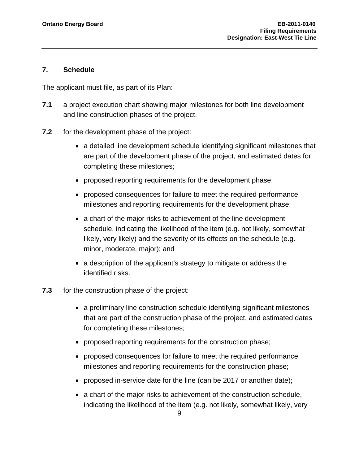#### **7. Schedule**

The applicant must file, as part of its Plan:

- **7.1** a project execution chart showing major milestones for both line development and line construction phases of the project.
- **7.2** for the development phase of the project:
	- a detailed line development schedule identifying significant milestones that are part of the development phase of the project, and estimated dates for completing these milestones;
	- proposed reporting requirements for the development phase;
	- proposed consequences for failure to meet the required performance milestones and reporting requirements for the development phase;
	- a chart of the major risks to achievement of the line development schedule, indicating the likelihood of the item (e.g. not likely, somewhat likely, very likely) and the severity of its effects on the schedule (e.g. minor, moderate, major); and
	- a description of the applicant's strategy to mitigate or address the identified risks.
- **7.3** for the construction phase of the project:
	- a preliminary line construction schedule identifying significant milestones that are part of the construction phase of the project, and estimated dates for completing these milestones;
	- proposed reporting requirements for the construction phase;
	- proposed consequences for failure to meet the required performance milestones and reporting requirements for the construction phase;
	- proposed in-service date for the line (can be 2017 or another date);
	- a chart of the major risks to achievement of the construction schedule, indicating the likelihood of the item (e.g. not likely, somewhat likely, very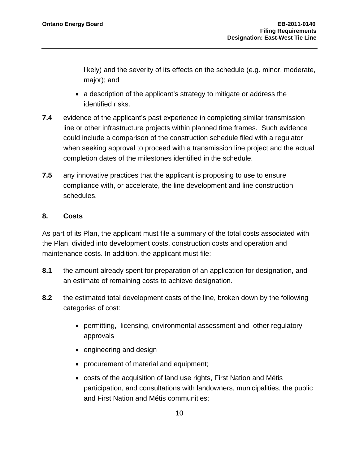likely) and the severity of its effects on the schedule (e.g. minor, moderate, major); and

- a description of the applicant's strategy to mitigate or address the identified risks.
- **7.4** evidence of the applicant's past experience in completing similar transmission line or other infrastructure projects within planned time frames. Such evidence could include a comparison of the construction schedule filed with a regulator when seeking approval to proceed with a transmission line project and the actual completion dates of the milestones identified in the schedule.
- **7.5** any innovative practices that the applicant is proposing to use to ensure compliance with, or accelerate, the line development and line construction schedules.

### **8. Costs**

As part of its Plan, the applicant must file a summary of the total costs associated with the Plan, divided into development costs, construction costs and operation and maintenance costs. In addition, the applicant must file:

- **8.1** the amount already spent for preparation of an application for designation, and an estimate of remaining costs to achieve designation.
- **8.2** the estimated total development costs of the line, broken down by the following categories of cost:
	- permitting, licensing, environmental assessment and other regulatory approvals
	- engineering and design
	- procurement of material and equipment;
	- costs of the acquisition of land use rights, First Nation and Métis participation, and consultations with landowners, municipalities, the public and First Nation and Métis communities;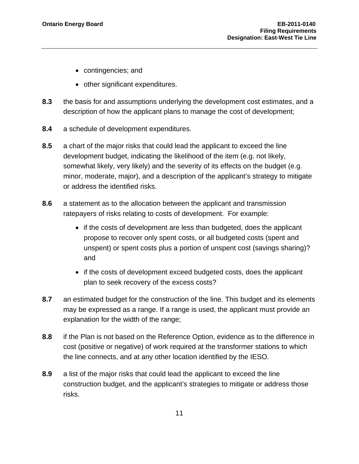- contingencies; and
- other significant expenditures.
- **8.3** the basis for and assumptions underlying the development cost estimates, and a description of how the applicant plans to manage the cost of development;
- **8.4** a schedule of development expenditures.
- **8.5** a chart of the major risks that could lead the applicant to exceed the line development budget, indicating the likelihood of the item (e.g. not likely, somewhat likely, very likely) and the severity of its effects on the budget (e.g. minor, moderate, major), and a description of the applicant's strategy to mitigate or address the identified risks.
- **8.6** a statement as to the allocation between the applicant and transmission ratepayers of risks relating to costs of development. For example:
	- if the costs of development are less than budgeted, does the applicant propose to recover only spent costs, or all budgeted costs (spent and unspent) or spent costs plus a portion of unspent cost (savings sharing)? and
	- if the costs of development exceed budgeted costs, does the applicant plan to seek recovery of the excess costs?
- **8.7** an estimated budget for the construction of the line. This budget and its elements may be expressed as a range. If a range is used, the applicant must provide an explanation for the width of the range;
- **8.8** if the Plan is not based on the Reference Option, evidence as to the difference in cost (positive or negative) of work required at the transformer stations to which the line connects, and at any other location identified by the IESO.
- **8.9** a list of the major risks that could lead the applicant to exceed the line construction budget, and the applicant's strategies to mitigate or address those risks.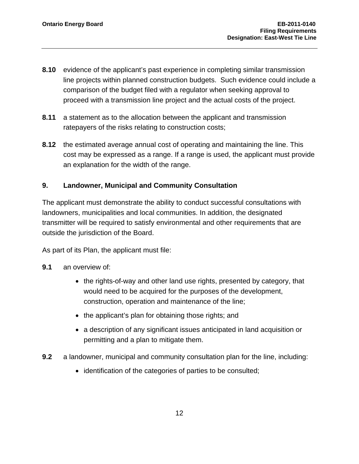- **8.10** evidence of the applicant's past experience in completing similar transmission line projects within planned construction budgets. Such evidence could include a comparison of the budget filed with a regulator when seeking approval to proceed with a transmission line project and the actual costs of the project.
- **8.11** a statement as to the allocation between the applicant and transmission ratepayers of the risks relating to construction costs;
- **8.12** the estimated average annual cost of operating and maintaining the line. This cost may be expressed as a range. If a range is used, the applicant must provide an explanation for the width of the range.

### **9. Landowner, Municipal and Community Consultation**

The applicant must demonstrate the ability to conduct successful consultations with landowners, municipalities and local communities. In addition, the designated transmitter will be required to satisfy environmental and other requirements that are outside the jurisdiction of the Board.

As part of its Plan, the applicant must file:

- **9.1** an overview of:
	- the rights-of-way and other land use rights, presented by category, that would need to be acquired for the purposes of the development, construction, operation and maintenance of the line;
	- the applicant's plan for obtaining those rights; and
	- a description of any significant issues anticipated in land acquisition or permitting and a plan to mitigate them.
- **9.2** a landowner, municipal and community consultation plan for the line, including:
	- identification of the categories of parties to be consulted;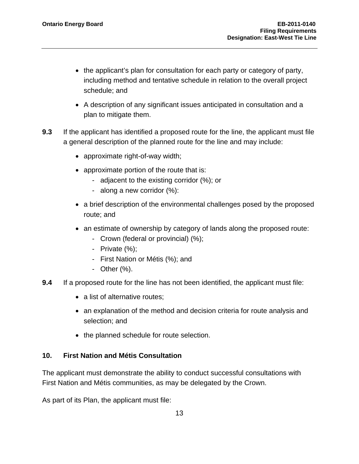- the applicant's plan for consultation for each party or category of party, including method and tentative schedule in relation to the overall project schedule; and
- A description of any significant issues anticipated in consultation and a plan to mitigate them.
- **9.3** If the applicant has identified a proposed route for the line, the applicant must file a general description of the planned route for the line and may include:
	- approximate right-of-way width;
	- approximate portion of the route that is:
		- adjacent to the existing corridor (%); or
		- along a new corridor (%):
	- a brief description of the environmental challenges posed by the proposed route; and
	- an estimate of ownership by category of lands along the proposed route:
		- Crown (federal or provincial) (%);
		- Private (%);
		- First Nation or Métis (%); and
		- Other (%).
- **9.4** If a proposed route for the line has not been identified, the applicant must file:
	- a list of alternative routes;
	- an explanation of the method and decision criteria for route analysis and selection; and
	- the planned schedule for route selection.

#### **10. First Nation and Métis Consultation**

The applicant must demonstrate the ability to conduct successful consultations with First Nation and Métis communities, as may be delegated by the Crown.

As part of its Plan, the applicant must file: